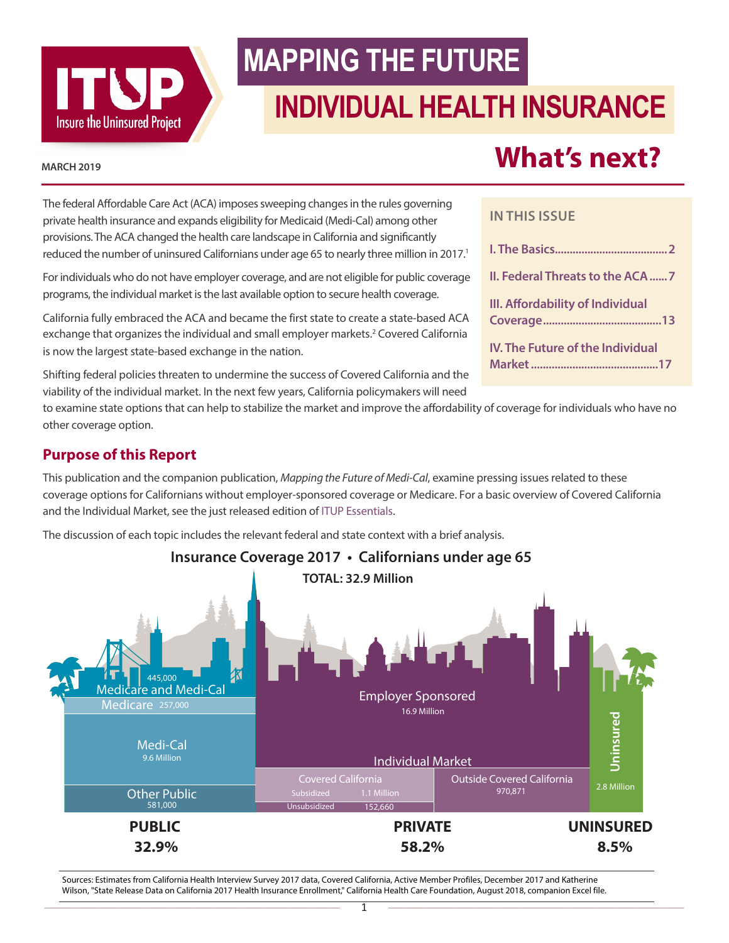

# **MAPPING THE FUTURE**

# **INDIVIDUAL HEALTH INSURANCE**

#### **MARCH 2019**

The federal Affordable Care Act (ACA) imposes sweeping changes in the rules governing private health insurance and expands eligibility for Medicaid (Medi-Cal) among other provisions. The ACA changed the health care landscape in California and significantly reduced the number of uninsured Californians under age 65 to nearly three million in 20[1](#page-17-0)7.<sup>1</sup>

For individuals who do not have employer coverage, and are not eligible for public coverage programs, the individual market is the last available option to secure health coverage.

California fully embraced the ACA and became the first state to create a state-based ACA exchange that organizes the individual and small employer markets.<sup>[2](#page-17-0)</sup> Covered California is now the largest state-based exchange in the nation.

Shifting federal policies threaten to undermine the success of Covered California and the viability of the individual market. In the next few years, California policymakers will need

# **What's next?**

#### **IN THIS ISSUE**

| II. Federal Threats to the ACA 7        |
|-----------------------------------------|
| III. Affordability of Individual        |
| <b>IV. The Future of the Individual</b> |

to examine state options that can help to stabilize the market and improve the affordability of coverage for individuals who have no other coverage option.

## **Purpose of this Report**

This publication and the companion publication, Mapping the Future of Medi-Cal, examine pressing issues related to these coverage options for Californians without employer-sponsored coverage or Medicare. For a basic overview of Covered California and the Individual Market, see the just released edition of ITUP Essentials.

The discussion of each topic includes the relevant federal and state context with a brief analysis.



Sources: Estimates from California Health Interview Survey 2017 data, Covered California, Active Member Profiles, December 2017 and Katherine Wilson, "State Release Data on California 2017 Health Insurance Enrollment," California Health Care Foundation, August 2018, companion Excel file.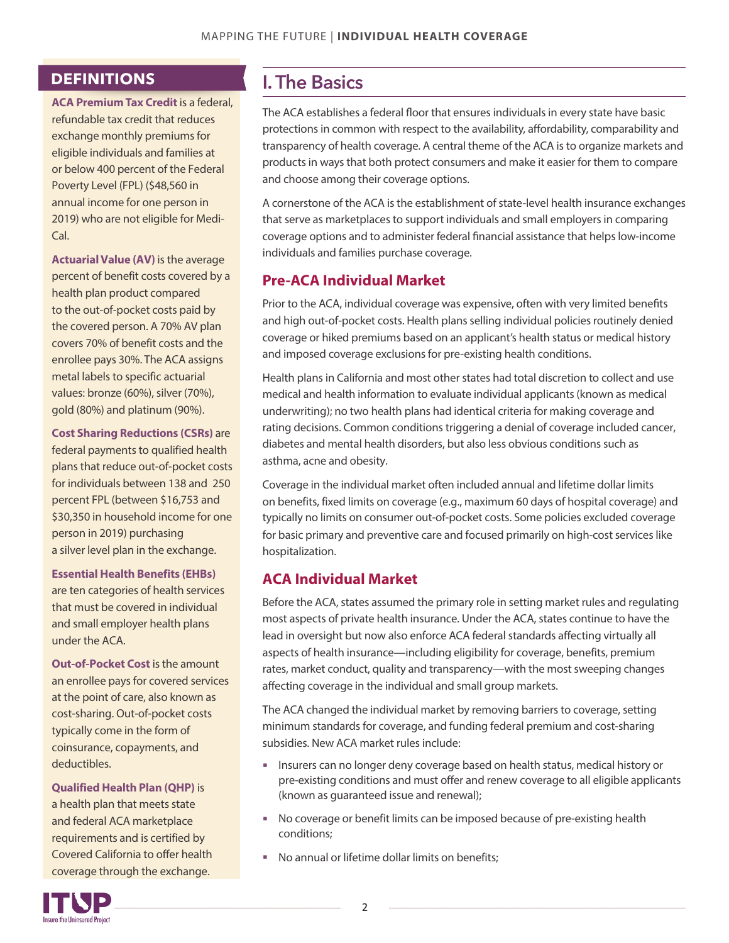## <span id="page-1-0"></span>**DEFINITIONS**

**ACA Premium Tax Credit** is a federal, refundable tax credit that reduces exchange monthly premiums for eligible individuals and families at or below 400 percent of the Federal Poverty Level (FPL) (\$48,560 in annual income for one person in 2019) who are not eligible for Medi-Cal.

**Actuarial Value (AV)** is the average percent of benefit costs covered by a health plan product compared to the out-of-pocket costs paid by the covered person. A 70% AV plan covers 70% of benefit costs and the enrollee pays 30%. The ACA assigns metal labels to specific actuarial values: bronze (60%), silver (70%), gold (80%) and platinum (90%).

**Cost Sharing Reductions (CSRs)** are federal payments to qualified health plans that reduce out-of-pocket costs for individuals between 138 and 250 percent FPL (between \$16,753 and \$30,350 in household income for one person in 2019) purchasing a silver level plan in the exchange.

#### **Essential Health Benefits (EHBs)**

are ten categories of health services that must be covered in individual and small employer health plans under the ACA.

**Out-of-Pocket Cost**is the amount an enrollee pays for covered services at the point of care, also known as cost-sharing. Out-of-pocket costs typically come in the form of coinsurance, copayments, and deductibles.

**Qualified Health Plan (QHP)** is a health plan that meets state and federal ACA marketplace requirements and is certified by Covered California to offer health coverage through the exchange.

## I. The Basics

The ACA establishes a federal floor that ensures individuals in every state have basic protections in common with respect to the availability, affordability, comparability and transparency of health coverage. A central theme of the ACA is to organize markets and products in ways that both protect consumers and make it easier for them to compare and choose among their coverage options.

A cornerstone of the ACA is the establishment of state-level health insurance exchanges that serve as marketplaces to support individuals and small employers in comparing coverage options and to administer federal financial assistance that helps low-income individuals and families purchase coverage.

## **Pre-ACA Individual Market**

Prior to the ACA, individual coverage was expensive, often with very limited benefits and high out-of-pocket costs. Health plans selling individual policies routinely denied coverage or hiked premiums based on an applicant's health status or medical history and imposed coverage exclusions for pre-existing health conditions.

Health plans in California and most other states had total discretion to collect and use medical and health information to evaluate individual applicants (known as medical underwriting); no two health plans had identical criteria for making coverage and rating decisions. Common conditions triggering a denial of coverage included cancer, diabetes and mental health disorders, but also less obvious conditions such as asthma, acne and obesity.

Coverage in the individual market often included annual and lifetime dollar limits on benefits, fixed limits on coverage (e.g., maximum 60 days of hospital coverage) and typically no limits on consumer out-of-pocket costs. Some policies excluded coverage for basic primary and preventive care and focused primarily on high-cost services like hospitalization.

## **ACA Individual Market [3](#page-17-0)**

Before the ACA, states assumed the primary role in setting market rules and regulating most aspects of private health insurance. Under the ACA, states continue to have the lead in oversight but now also enforce ACA federal standards affecting virtually all aspects of health insurance—including eligibility for coverage, benefits, premium rates, market conduct, quality and transparency—with the most sweeping changes affecting coverage in the individual and small group markets.

The ACA changed the individual market by removing barriers to coverage, setting minimum standards for coverage, and funding federal premium and cost-sharing subsidies. New ACA market rules include:

- Insurers can no longer deny coverage based on health status, medical history or pre-existing conditions and must offer and renew coverage to all eligible applicants (known as guaranteed issue and renewal);
- No coverage or benefit limits can be imposed because of pre-existing health conditions;
- No annual or lifetime dollar limits on benefits;

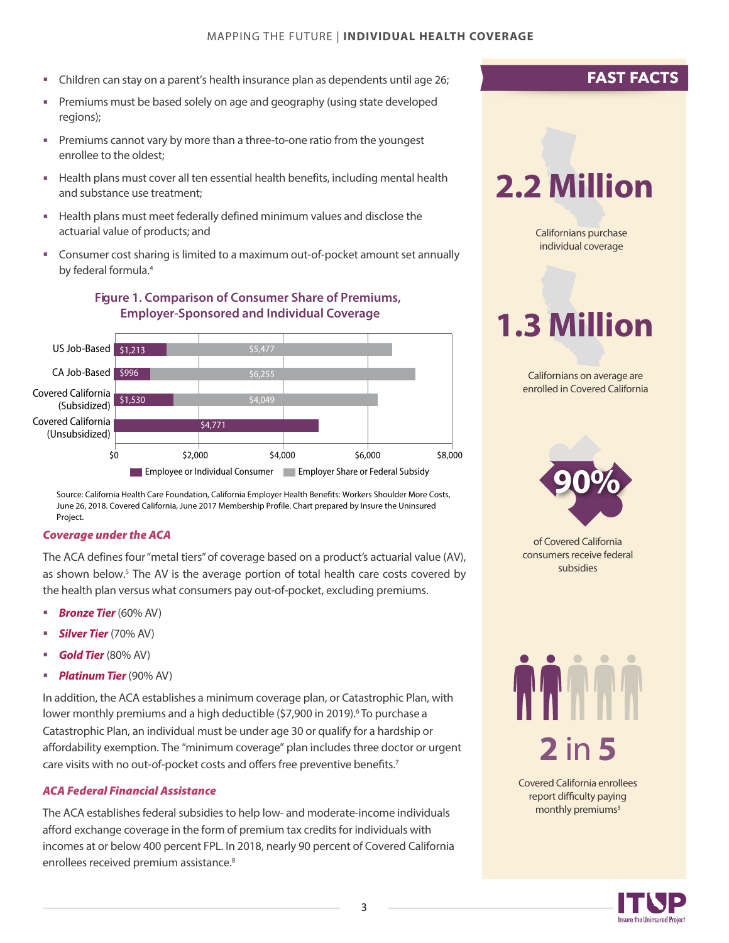- <span id="page-2-0"></span>Children can stay on a parent's health insurance plan as dependents until age 26;
- **Premiums must be based solely on age and geography (using state developed** regions);
- Premiums cannot vary by more than a three-to-one ratio from the youngest enrollee to the oldest;
- **Health plans must cover all ten essential health benefits, including mental health** and substance use treatment;
- Health plans must meet federally defined minimum values and disclose the actuarial value of products; and
- Consumer cost sharing is limited to a maximum out-of-pocket amount set annually by federal formula.[4](#page-17-0)

## **Average Annual Premium Contributions for Single Coverage Figure 1. Comparison of Consumer Share of Premiums, Covered California vs. Job-Based Coverage, 2017 Employer-Sponsored and Individual Coverage**



Source: California Health Care Foundation, California Employer Health Benefits: Workers Shoulder More Costs, June 26, 2018. Covered California, June 2017 Membership Profile. Chart prepared by Insure the Uninsured Project.

#### *Coverage under the ACA*

The ACA defines four"metal tiers" of coverage based on a product's actuarial value (AV), as shown below.<sup>[5](#page-17-0)</sup> The AV is the average portion of total health care costs covered by the health plan versus what consumers pay out-of-pocket, excluding premiums.

- *Bronze Tier* (60% AV)
- *Silver Tier* (70% AV)
- *Gold Tier* (80% AV)
- *Platinum Tier* (90% AV)

In addition, the ACA establishes a minimum coverage plan, or Catastrophic Plan, with lower monthly premiums and a high deductible (\$7,900 in 2019).<sup>[6](#page-17-0)</sup> To purchase a Catastrophic Plan, an individual must be under age 30 or qualify for a hardship or affordability exemption. The "minimum coverage" plan includes three doctor or urgent care visits with no out-of-pocket costs and offers free preventive benefits.<sup>[7](#page-17-0)</sup>

#### *ACA Federal Financial Assistance*

The ACA establishes federal subsidies to help low- and moderate-income individuals afford exchange coverage in the form of premium tax credits for individuals with incomes at or below 400 percent FPL. In 2018, nearly 90 percent of Covered California [e](#page-17-0)nrollees received premium assistance.<sup>8</sup>

## **FAST FACTS**

# **2.2 Million**

Californians purchase individual coverage

# **1.3 Million**

Californians on average are enrolled in Covered California



of Covered California consumers receive federal subsidies



Covered California enrollees report difficulty paying monthly premiums<sup>3</sup>

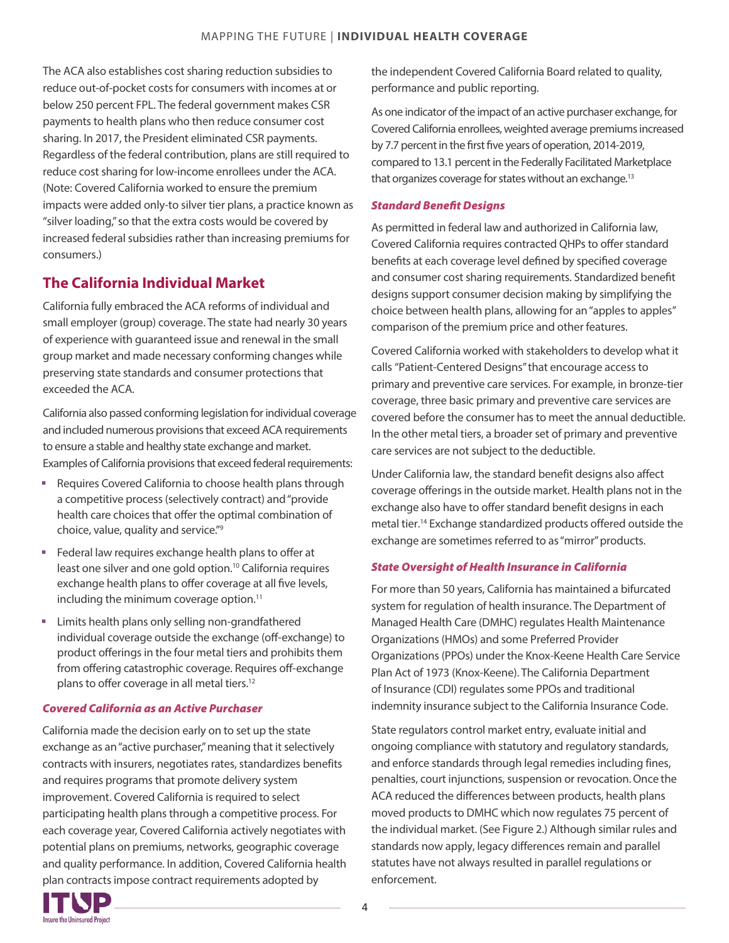<span id="page-3-0"></span>The ACA also establishes cost sharing reduction subsidies to reduce out-of-pocket costs for consumers with incomes at or below 250 percent FPL. The federal government makes CSR payments to health plans who then reduce consumer cost sharing. In 2017, the President eliminated CSR payments. Regardless of the federal contribution, plans are still required to reduce cost sharing for low-income enrollees under the ACA. (Note: Covered California worked to ensure the premium impacts were added only-to silver tier plans, a practice known as "silver loading,"so that the extra costs would be covered by increased federal subsidies rather than increasing premiums for consumers.)

## **The California Individual Market**

California fully embraced the ACA reforms of individual and small employer (group) coverage. The state had nearly 30 years of experience with guaranteed issue and renewal in the small group market and made necessary conforming changes while preserving state standards and consumer protections that exceeded the ACA.

California also passed conforming legislation for individual coverage and included numerous provisions that exceed ACA requirements to ensure a stable and healthy state exchange and market. Examples of California provisions that exceed federal requirements:

- Requires Covered California to choose health plans through a competitive process (selectively contract) and "provide health care choices that offer the optimal combination of choice, value, quality and service."[9](#page-17-0)
- **Federal law requires exchange health plans to offer at** least one silver and one gold option[.10](#page-17-0) California requires exchange health plans to offer coverage at all five levels, including the minimum coverage option.<sup>[11](#page-17-0)</sup>
- **EXECT:** Limits health plans only selling non-grandfathered individual coverage outside the exchange (off-exchange) to product offerings in the four metal tiers and prohibits them from offering catastrophic coverage. Requires off-exchange plans to offer coverage in all metal tiers.<sup>[12](#page-17-0)</sup>

#### *Covered California as an Active Purchaser*

California made the decision early on to set up the state exchange as an"active purchaser,"meaning that it selectively contracts with insurers, negotiates rates, standardizes benefits and requires programs that promote delivery system improvement. Covered California is required to select participating health plans through a competitive process. For each coverage year, Covered California actively negotiates with potential plans on premiums, networks, geographic coverage and quality performance. In addition, Covered California health plan contracts impose contract requirements adopted by

the independent Covered California Board related to quality, performance and public reporting.

As one indicator of the impact of an active purchaser exchange, for Covered California enrollees, weighted average premiums increased by 7.7 percent in the first five years of operation, 2014-2019, compared to 13.1 percent in the Federally Facilitated Marketplace that organizes coverage for states without an exchange.<sup>[13](#page-17-0)</sup>

#### *Standard Benefit Designs*

As permitted in federal law and authorized in California law, Covered California requires contracted QHPs to offer standard benefits at each coverage level defined by specified coverage and consumer cost sharing requirements. Standardized benefit designs support consumer decision making by simplifying the choice between health plans, allowing for an"apples to apples" comparison of the premium price and other features.

Covered California worked with stakeholders to develop what it calls "Patient-Centered Designs"that encourage access to primary and preventive care services. For example, in bronze-tier coverage, three basic primary and preventive care services are covered before the consumer has to meet the annual deductible. In the other metal tiers, a broader set of primary and preventive care services are not subject to the deductible.

Under California law, the standard benefit designs also affect coverage offerings in the outside market. Health plans not in the exchange also have to offer standard benefit designs in each metal tier.[14](#page-17-0) Exchange standardized products offered outside the exchange are sometimes referred to as "mirror" products.

#### *State Oversight of Health Insurance in California*

For more than 50 years, California has maintained a bifurcated system for regulation of health insurance. The Department of Managed Health Care (DMHC) regulates Health Maintenance Organizations (HMOs) and some Preferred Provider Organizations (PPOs) under the Knox-Keene Health Care Service Plan Act of 1973 (Knox-Keene). The California Department of Insurance (CDI) regulates some PPOs and traditional indemnity insurance subject to the California Insurance Code.

State regulators control market entry, evaluate initial and ongoing compliance with statutory and regulatory standards, and enforce standards through legal remedies including fines, penalties, court injunctions, suspension or revocation. Once the ACA reduced the differences between products, health plans moved products to DMHC which now regulates 75 percent of the individual market. (See Figure 2.) Although similar rules and standards now apply, legacy differences remain and parallel statutes have not always resulted in parallel regulations or enforcement.

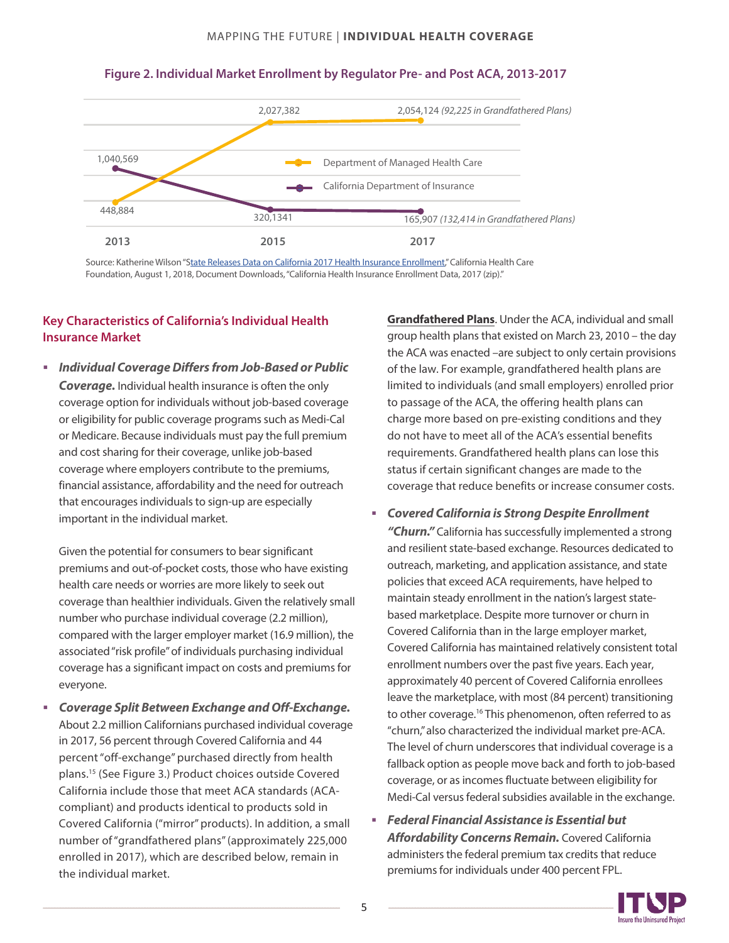#### MAPPING THE FUTURE | **INDIVIDUAL HEALTH COVERAGE**



#### <span id="page-4-0"></span>**Figure 2. Individual Market Enrollment by Regulator Pre- and Post ACA, 2013-2017**

Source: Katherine Wilson "[State Releases Data on California 2017 Health Insurance Enrollment,](https://www.chcf.org/blog/state-releases-data-on-california-2017-health-insurance-enrollment/)" California Health Care Foundation, August 1, 2018, Document Downloads, "California Health Insurance Enrollment Data, 2017 (zip)."

#### **Key Characteristics of California's Individual Health Insurance Market**

 *Individual CoverageDiffers from Job-Based or Public Coverage.* Individual health insurance is often the only coverage option for individuals without job-based coverage or eligibility for public coverage programs such as Medi-Cal or Medicare. Because individuals must pay the full premium and cost sharing for their coverage, unlike job-based coverage where employers contribute to the premiums, financial assistance, affordability and the need for outreach that encourages individuals to sign-up are especially important in the individual market.

Given the potential for consumers to bear significant premiums and out-of-pocket costs, those who have existing health care needs or worries are more likely to seek out coverage than healthier individuals. Given the relatively small number who purchase individual coverage (2.2 million), compared with the larger employer market (16.9 million), the associated "risk profile"of individuals purchasing individual coverage has a significant impact on costs and premiums for everyone.

 *Coverage Split Between Exchange and Off-Exchange.* About 2.2 million Californians purchased individual coverage in 2017, 56 percent through Covered California and 44 percent "off-exchange" purchased directly from health plans.[15](#page-17-0) (See Figure 3.) Product choices outside Covered California include those that meet ACA standards (ACAcompliant) and products identical to products sold in Covered California ("mirror" products). In addition, a small number of "grandfathered plans"(approximately 225,000 enrolled in 2017), which are described below, remain in the individual market.

**Grandfathered Plans**. Under the ACA, individual and small group health plans that existed on March 23, 2010 – the day the ACA was enacted –are subject to only certain provisions of the law. For example, grandfathered health plans are limited to individuals (and small employers) enrolled prior to passage of the ACA, the offering health plans can charge more based on pre-existing conditions and they do not have to meet all of the ACA's essential benefits requirements. Grandfathered health plans can lose this status if certain significant changes are made to the coverage that reduce benefits or increase consumer costs.

- *Covered California is Strong Despite Enrollment "Churn."* California has successfully implemented a strong and resilient state-based exchange. Resources dedicated to outreach, marketing, and application assistance, and state policies that exceed ACA requirements, have helped to maintain steady enrollment in the nation's largest statebased marketplace. Despite more turnover or churn in Covered California than in the large employer market, Covered California has maintained relatively consistent total enrollment numbers over the past five years. Each year, approximately 40 percent of Covered California enrollees leave the marketplace, with most (84 percent) transitioning to other coverage.<sup>[16](#page-17-0)</sup> This phenomenon, often referred to as "churn,"also characterized the individual market pre-ACA. The level of churn underscores that individual coverage is a fallback option as people move back and forth to job-based coverage, or as incomes fluctuate between eligibility for Medi-Cal versus federal subsidies available in the exchange.
- *Federal Financial Assistance is Essential but Affordability Concerns Remain.* Covered California administers the federal premium tax credits that reduce premiums for individuals under 400 percent FPL.

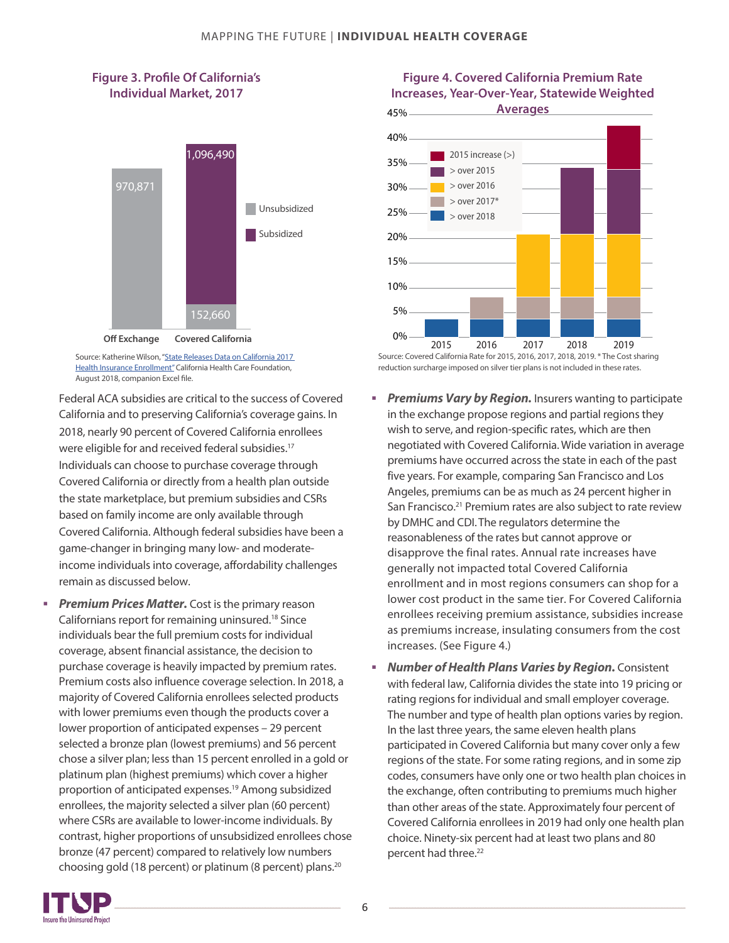#### **Figure 3. Profile Of California's Individual Market, 2017**



Source: Katherine Wilson, ["State Releases Data on California 2017](https://www.chcf.org/blog/state-releases-data-on-california-2017-health-insurance-enrollment/)  [Health Insurance Enrollment"](https://www.chcf.org/blog/state-releases-data-on-california-2017-health-insurance-enrollment/) California Health Care Foundation, August 2018, companion Excel file.

Federal ACA subsidies are critical to the success of Covered California and to preserving California's coverage gains. In 2018, nearly 90 percent of Covered California enrollees were eligible for and received federal subsidies.<sup>[17](#page-17-0)</sup> Individuals can choose to purchase coverage through Covered California or directly from a health plan outside the state marketplace, but premium subsidies and CSRs based on family income are only available through Covered California. Although federal subsidies have been a game-changer in bringing many low- and moderateincome individuals into coverage, affordability challenges remain as discussed below.

**Premium Prices Matter.** Cost is the primary reason Californians report for remaining uninsured.[18](#page-17-0) Since individuals bear the full premium costs for individual coverage, absent financial assistance, the decision to purchase coverage is heavily impacted by premium rates. Premium costs also influence coverage selection. In 2018, a majority of Covered California enrollees selected products with lower premiums even though the products cover a lower proportion of anticipated expenses – 29 percent selected a bronze plan (lowest premiums) and 56 percent chose a silver plan; less than 15 percent enrolled in a gold or platinum plan (highest premiums) which cover a higher proportion of anticipated expenses.[19](#page-17-0) Among subsidized enrollees, the majority selected a silver plan (60 percent) where CSRs are available to lower-income individuals. By contrast, higher proportions of unsubsidized enrollees chose bronze (47 percent) compared to relatively low numbers choosing gold (18 percent) or platinum (8 percent) plans.[20](#page-17-0)

#### **Figure 4. Covered California Premium Rate Increases, Year-Over-Year, Statewide Weighted**



Source: Covered California Rate for 2015, 2016, 2017, 2018, 2019. \* The Cost sharing reduction surcharge imposed on silver tier plans is not included in these rates.

- **Premiums Vary by Region.** Insurers wanting to participate in the exchange propose regions and partial regions they wish to serve, and region-specific rates, which are then negotiated with Covered California. Wide variation in average premiums have occurred acrossthe state in each of the past five years. For example, comparing San Francisco and Los Angeles, premiums can be as much as 24 percent higher in San Francisco.<sup>[21](#page-17-0)</sup> Premium rates are also subject to rate review by DMHC and CDI.The regulators determine the reasonableness of the rates but cannot approve or disapprove the final rates. Annual rate increases have generally not impacted total Covered California enrollment and in most regions consumers can shop for a lower cost product in the same tier. For Covered California enrollees receiving premium assistance, subsidies increase as premiums increase, insulating consumers from the cost increases. (See Figure 4.)
- *Number of Health Plans Varies by Region.* Consistent with federal law, California divides the state into 19 pricing or rating regions for individual and small employer coverage. The number and type of health plan options varies by region. In the last three years, the same eleven health plans participated in Covered California but many cover only a few regions of the state. For some rating regions, and in some zip codes, consumers have only one or two health plan choices in the exchange, often contributing to premiums much higher than other areas of the state. Approximately four percent of Covered California enrollees in 2019 had only one health plan choice. Ninety-six percent had at least two plans and 80 percent had three.<sup>[22](#page-17-0)</sup>

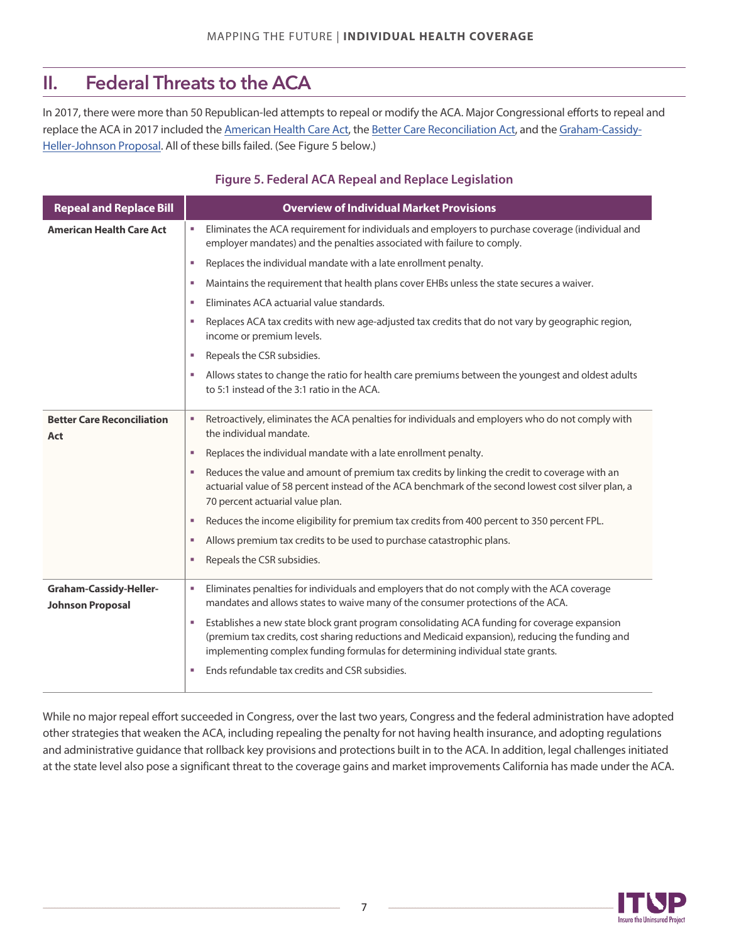## II. Federal Threats to the ACA

In 2017, there were more than 50 Republican-led attempts to repeal or modify the ACA. Major Congressional efforts to repeal and [replace the ACA in 2017 included the](http://www.itup.org/aca-watch/fact-sheets/#The%20Graham-Cassidy-Heller-Johnson%20Proposal) [American Health Care Act](http://www.itup.org/aca-watch/fact-sheets/#Summary%20of%20The%20American%20Health%20Care%20Act)[, the](http://www.itup.org/aca-watch/fact-sheets/#The%20Graham-Cassidy-Heller-Johnson%20Proposal) [Better Care Reconciliation Act](http://www.itup.org/aca-watch/fact-sheets/#Summary%20of%20the%20Better%20Care%20Reconciliation%20Act)[, and the Graham-Cassidy-](http://www.itup.org/aca-watch/fact-sheets/#The%20Graham-Cassidy-Heller-Johnson%20Proposal)Heller-[Johnson Proposal](http://www.itup.org/aca-watch/fact-sheets/#The%20Graham-Cassidy-Heller-Johnson%20Proposal). All of these bills failed. (See Figure 5 below.)

#### **Figure 5. Federal ACA Repeal and Replace Legislation**

| <b>Repeal and Replace Bill</b>                           | <b>Overview of Individual Market Provisions</b>                                                                                                                                                                                                                                        |  |  |
|----------------------------------------------------------|----------------------------------------------------------------------------------------------------------------------------------------------------------------------------------------------------------------------------------------------------------------------------------------|--|--|
| <b>American Health Care Act</b>                          | Eliminates the ACA requirement for individuals and employers to purchase coverage (individual and<br>ш<br>employer mandates) and the penalties associated with failure to comply.                                                                                                      |  |  |
|                                                          | Replaces the individual mandate with a late enrollment penalty.<br>×                                                                                                                                                                                                                   |  |  |
|                                                          | Maintains the requirement that health plans cover EHBs unless the state secures a waiver.<br>×                                                                                                                                                                                         |  |  |
|                                                          | Eliminates ACA actuarial value standards.<br>×                                                                                                                                                                                                                                         |  |  |
|                                                          | Replaces ACA tax credits with new age-adjusted tax credits that do not vary by geographic region,<br>×<br>income or premium levels.                                                                                                                                                    |  |  |
|                                                          | Repeals the CSR subsidies.<br>×                                                                                                                                                                                                                                                        |  |  |
|                                                          | Allows states to change the ratio for health care premiums between the youngest and oldest adults<br>ш<br>to 5:1 instead of the 3:1 ratio in the ACA.                                                                                                                                  |  |  |
| <b>Better Care Reconciliation</b><br>Act                 | Retroactively, eliminates the ACA penalties for individuals and employers who do not comply with<br>٠<br>the individual mandate.                                                                                                                                                       |  |  |
|                                                          | Replaces the individual mandate with a late enrollment penalty.<br>×                                                                                                                                                                                                                   |  |  |
|                                                          | Reduces the value and amount of premium tax credits by linking the credit to coverage with an<br>×<br>actuarial value of 58 percent instead of the ACA benchmark of the second lowest cost silver plan, a<br>70 percent actuarial value plan.                                          |  |  |
|                                                          | Reduces the income eligibility for premium tax credits from 400 percent to 350 percent FPL.<br>×                                                                                                                                                                                       |  |  |
|                                                          | Allows premium tax credits to be used to purchase catastrophic plans.<br>×                                                                                                                                                                                                             |  |  |
|                                                          | Repeals the CSR subsidies.<br>×                                                                                                                                                                                                                                                        |  |  |
| <b>Graham-Cassidy-Heller-</b><br><b>Johnson Proposal</b> | Eliminates penalties for individuals and employers that do not comply with the ACA coverage<br>×<br>mandates and allows states to waive many of the consumer protections of the ACA.                                                                                                   |  |  |
|                                                          | Establishes a new state block grant program consolidating ACA funding for coverage expansion<br>ш<br>(premium tax credits, cost sharing reductions and Medicaid expansion), reducing the funding and<br>implementing complex funding formulas for determining individual state grants. |  |  |
|                                                          | Ends refundable tax credits and CSR subsidies.<br>×                                                                                                                                                                                                                                    |  |  |

While no major repeal effort succeeded in Congress, over the last two years, Congress and the federal administration have adopted other strategies that weaken the ACA, including repealing the penalty for not having health insurance, and adopting regulations and administrative guidance that rollback key provisions and protections built in to the ACA. In addition, legal challenges initiated at the state level also pose a significant threat to the coverage gains and market improvements California has made under the ACA.

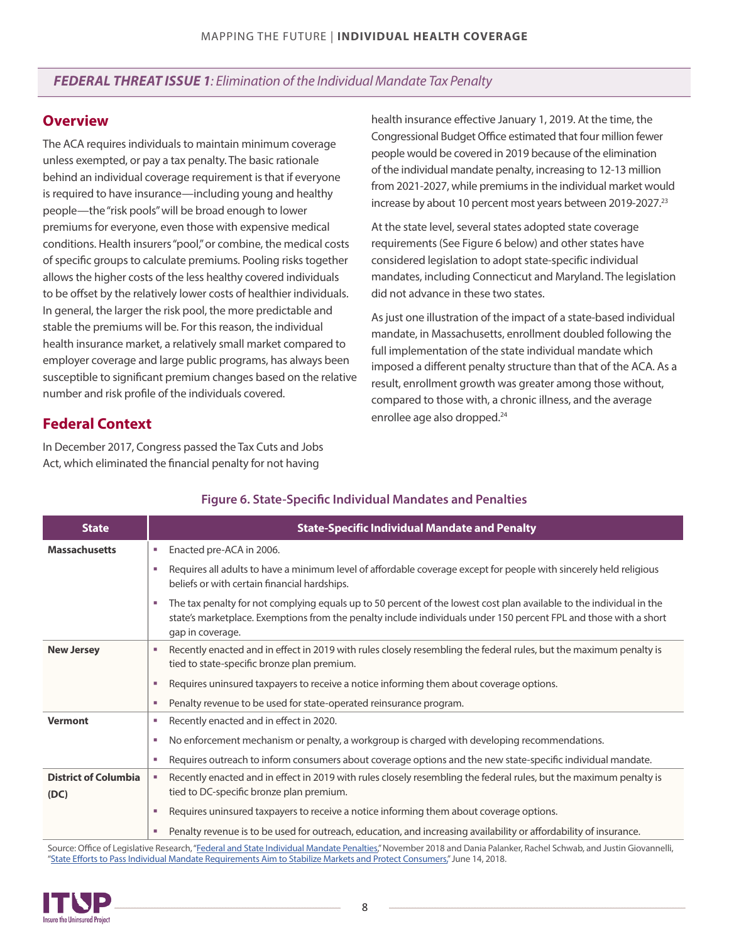## <span id="page-7-0"></span>*FEDERAL THREAT ISSUE 1: Elimination of the Individual Mandate Tax Penalty*

### **Overview**

The ACA requires individuals to maintain minimum coverage unless exempted, or pay a tax penalty. The basic rationale behind an individual coverage requirement is that if everyone is required to have insurance—including young and healthy people—the "risk pools" will be broad enough to lower premiums for everyone, even those with expensive medical conditions. Health insurers "pool," or combine, the medical costs of specific groups to calculate premiums. Pooling risks together allows the higher costs of the less healthy covered individuals to be offset by the relatively lower costs of healthier individuals. In general, the larger the risk pool, the more predictable and stable the premiums will be. For this reason, the individual health insurance market, a relatively small market compared to employer coverage and large public programs, has always been susceptible to significant premium changes based on the relative number and risk profile of the individuals covered.

health insurance effective January 1, 2019. At the time, the Congressional Budget Office estimated that four million fewer people would be covered in 2019 because of the elimination of the individual mandate penalty, increasing to 12-13 million from 2021-2027, while premiums in the individual market would increase by about 10 percent most years between 2019-2027.<sup>[23](#page-17-0)</sup>

At the state level, several states adopted state coverage requirements (See Figure 6 below) and other states have considered legislation to adopt state-specific individual mandates, including Connecticut and Maryland. The legislation did not advance in these two states.

As just one illustration of the impact of a state-based individual mandate, in Massachusetts, enrollment doubled following the full implementation of the state individual mandate which imposed a different penalty structure than that of the ACA. As a result, enrollment growth was greater among those without, compared to those with, a chronic illness, and the average enrollee age also dropped.<sup>[24](#page-17-0)</sup>

## **Federal Context**

In December 2017, Congress passed the Tax Cuts and Jobs Act, which eliminated the financial penalty for not having

| <b>State</b>                        | <b>State-Specific Individual Mandate and Penalty</b>                                                                                                                                                                                                                        |  |  |
|-------------------------------------|-----------------------------------------------------------------------------------------------------------------------------------------------------------------------------------------------------------------------------------------------------------------------------|--|--|
| <b>Massachusetts</b>                | Enacted pre-ACA in 2006.<br>×                                                                                                                                                                                                                                               |  |  |
|                                     | Requires all adults to have a minimum level of affordable coverage except for people with sincerely held religious<br>m.<br>beliefs or with certain financial hardships.                                                                                                    |  |  |
|                                     | The tax penalty for not complying equals up to 50 percent of the lowest cost plan available to the individual in the<br><b>COL</b><br>state's marketplace. Exemptions from the penalty include individuals under 150 percent FPL and those with a short<br>gap in coverage. |  |  |
| <b>New Jersey</b>                   | Recently enacted and in effect in 2019 with rules closely resembling the federal rules, but the maximum penalty is<br>ш<br>tied to state-specific bronze plan premium.                                                                                                      |  |  |
|                                     | Requires uninsured taxpayers to receive a notice informing them about coverage options.<br>×,                                                                                                                                                                               |  |  |
|                                     | Penalty revenue to be used for state-operated reinsurance program.<br>×.                                                                                                                                                                                                    |  |  |
| <b>Vermont</b>                      | Recently enacted and in effect in 2020.<br>×                                                                                                                                                                                                                                |  |  |
|                                     | No enforcement mechanism or penalty, a workgroup is charged with developing recommendations.<br>×.                                                                                                                                                                          |  |  |
|                                     | Requires outreach to inform consumers about coverage options and the new state-specific individual mandate.<br><b>COL</b>                                                                                                                                                   |  |  |
| <b>District of Columbia</b><br>(DC) | Recently enacted and in effect in 2019 with rules closely resembling the federal rules, but the maximum penalty is<br>tied to DC-specific bronze plan premium.                                                                                                              |  |  |
|                                     | Requires uninsured taxpayers to receive a notice informing them about coverage options.<br>a.                                                                                                                                                                               |  |  |
|                                     | Penalty revenue is to be used for outreach, education, and increasing availability or affordability of insurance.<br>ш                                                                                                                                                      |  |  |

#### **Figure 6. State-Specific Individual Mandates and Penalties**

Source: Office of Legislative Research, ["Federal and State Individual Mandate Penalties](https://www.cga.ct.gov/2018/rpt/pdf/2018-R-0204.pdf)," November 2018 and Dania Palanker, Rachel Schwab, and Justin Giovannelli, "State Eff[orts to Pass Individual Mandate Requirements Aim to Stabilize Markets and Protect Consumers,"](https://www.commonwealthfund.org/blog/2018/state-efforts-pass-individual-mandate-requirements-aim-stabilize-markets-and-protect) June 14, 2018.

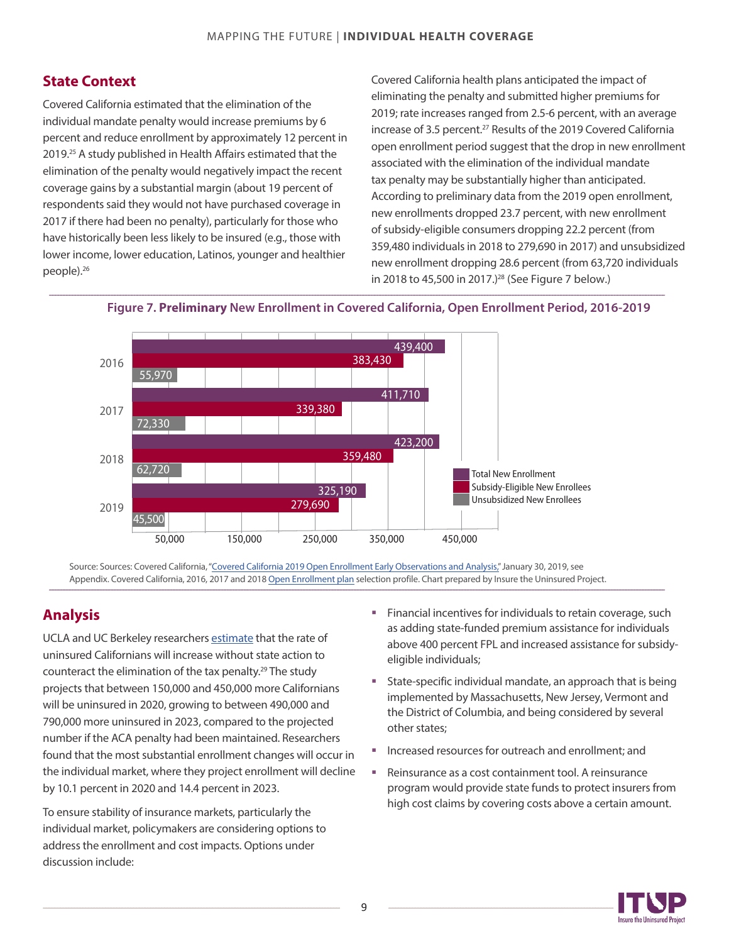## <span id="page-8-0"></span>**State Context**

Covered California estimated that the elimination of the individual mandate penalty would increase premiums by 6 percent and reduce enrollment by approximately 12 percent in 2019.<sup>[25](#page-17-0)</sup> A study published in Health Affairs estimated that the elimination of the penalty would negatively impact the recent coverage gains by a substantial margin (about 19 percent of respondents said they would not have purchased coverage in 2017 if there had been no penalty), particularly for those who have historically been less likely to be insured (e.g., those with lower income, lower education, Latinos, younger and healthier people).[26](#page-17-0)

Covered California health plans anticipated the impact of eliminating the penalty and submitted higher premiums for 2019; rate increases ranged from 2.5-6 percent, with an average increase of 3.5 percent.<sup>[27](#page-17-0)</sup> Results of the 2019 Covered California open enrollment period suggest that the drop in new enrollment associated with the elimination of the individual mandate tax penalty may be substantially higher than anticipated. According to preliminary data from the 2019 open enrollment, new enrollments dropped 23.7 percent, with new enrollment of subsidy-eligible consumers dropping 22.2 percent (from 359,480 individuals in 2018 to 279,690 in 2017) and unsubsidized new enrollment dropping 28.6 percent (from 63,720 individuals in 2018 to 45,500 in 2017.)<sup>[28](#page-17-0)</sup> (See Figure 7 below.)



**Figure 7. Preliminary New Enrollment in Covered California, Open Enrollment Period, 2016-2019**

Source: Sources: Covered California, ["Covered California 2019 Open Enrollment Early Observations and Analysis,"](https://hbex.coveredca.com/data-research/library/CoveredCA_2019_Open_Enrollment_Early_Analysis.pdf) January 30, 2019, see Appendix. Covered California, 2016, 2017 and 2018 [Open Enrollment plan](https://hbex.coveredca.com/data-research/library/CoveredCA_2019_Open_Enrollment_Early_Analysis.pdf) selection profile. Chart prepared by Insure the Uninsured Project.

## **Analysis**

UCLA and UC Berkeley researchers [estimate](http://laborcenter.berkeley.edu/pdf/2018/CA-Coverage-Gains-To-Erode-Without-Further-State-Action.pdf) that the rate of uninsured Californians will increase without state action to counteract the elimination of the tax penalty.<sup>29</sup> The study projects that between 150,000 and 450,000 more Californians will be uninsured in 2020, growing to between 490,000 and 790,000 more uninsured in 2023, compared to the projected number if the ACA penalty had been maintained. Researchers found that the most substantial enrollment changes will occur in the individual market, where they project enrollment will decline by 10.1 percent in 2020 and 14.4 percent in 2023.

To ensure stability of insurance markets, particularly the individual market, policymakers are considering options to address the enrollment and cost impacts. Options under discussion include:

- **Financial incentives for individuals to retain coverage, such** as adding state-funded premium assistance for individuals above 400 percent FPL and increased assistance for subsidyeligible individuals;
- State-specific individual mandate, an approach that is being implemented by Massachusetts, New Jersey, Vermont and the District of Columbia, and being considered by several other states;
- Increased resources for outreach and enrollment; and
- Reinsurance as a cost containment tool. A reinsurance program would provide state funds to protect insurers from high cost claims by covering costs above a certain amount.

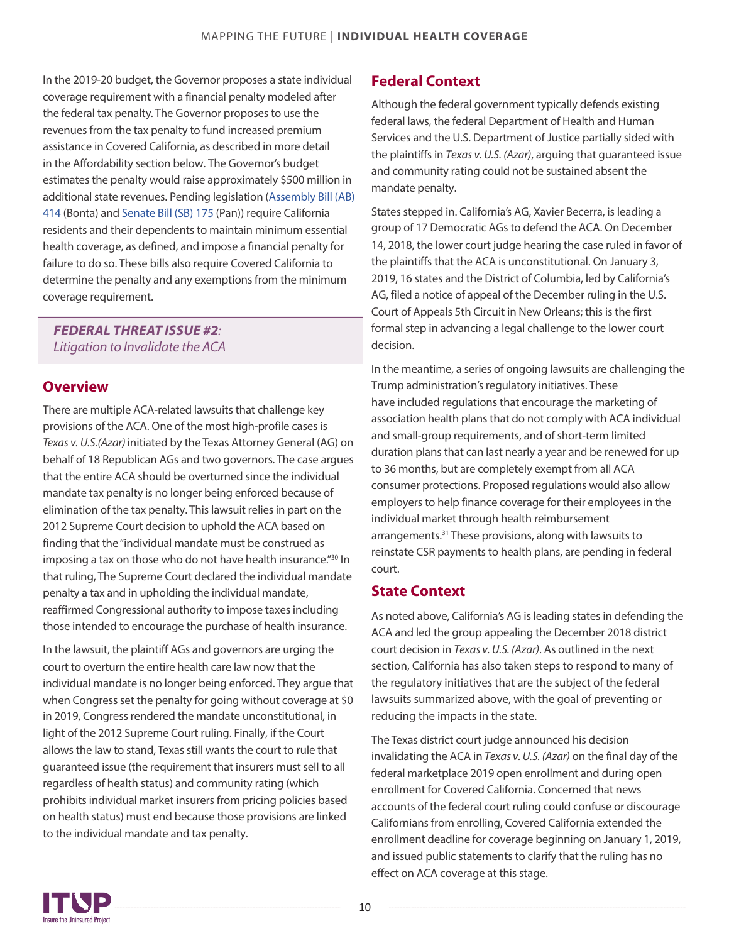<span id="page-9-0"></span>In the 2019-20 budget, the Governor proposes a state individual coverage requirement with a financial penalty modeled after the federal tax penalty. The Governor proposes to use the revenues from the tax penalty to fund increased premium assistance in Covered California, as described in more detail in the Affordability section below. The Governor's budget estimates the penalty would raise approximately \$500 million in [additional state revenues. Pending legislation \(Assembly Bill \(AB\)](https://leginfo.legislature.ca.gov/faces/billNavClient.xhtml?bill_id=201920200AB414) 414 (Bonta) and [Senate Bill \(SB\)](https://leginfo.legislature.ca.gov/faces/billNavClient.xhtml?bill_id=201920200SB175) [175](https://leginfo.legislature.ca.gov/faces/billNavClient.xhtml?bill_id=201920200SB175) (Pan)) require California residents and their dependents to maintain minimum essential health coverage, as defined, and impose a financial penalty for failure to do so. These bills also require Covered California to determine the penalty and any exemptions from the minimum coverage requirement.

## *FEDERAL THREAT ISSUE #2: Litigation to Invalidate the ACA*

#### **Overview**

There are multiple ACA-related lawsuits that challenge key provisions of the ACA. One of the most high-profile cases is Texas v. U.S.(Azar) initiated by the Texas Attorney General (AG) on behalf of 18 Republican AGs and two governors. The case argues that the entire ACA should be overturned since the individual mandate tax penalty is no longer being enforced because of elimination of the tax penalty. This lawsuit relies in part on the 2012 Supreme Court decision to uphold the ACA based on finding that the"individual mandate must be construed as imposing a tax on those who do not have health insurance." [30](#page-17-0) In that ruling, The Supreme Court declared the individual mandate penalty a tax and in upholding the individual mandate, reaffirmed Congressional authority to impose taxes including those intended to encourage the purchase of health insurance.

In the lawsuit, the plaintiff AGs and governors are urging the court to overturn the entire health care law now that the individual mandate is no longer being enforced. They argue that when Congress set the penalty for going without coverage at \$0 in 2019, Congress rendered the mandate unconstitutional, in light of the 2012 Supreme Court ruling. Finally, if the Court allows the law to stand, Texas still wants the court to rule that guaranteed issue (the requirement that insurers must sell to all regardless of health status) and community rating (which prohibits individual market insurers from pricing policies based on health status) must end because those provisions are linked to the individual mandate and tax penalty.

## **Federal Context**

Although the federal government typically defends existing federal laws, the federal Department of Health and Human Services and the U.S. Department of Justice partially sided with the plaintiffs in *Texas v. U.S. (Azar)*, arguing that guaranteed issue and community rating could not be sustained absent the mandate penalty.

States stepped in. California's AG, Xavier Becerra, is leading a group of 17 Democratic AGs to defend the ACA. On December 14, 2018, the lower court judge hearing the case ruled in favor of the plaintiffs that the ACA is unconstitutional. On January 3, 2019, 16 states and the District of Columbia, led by California's AG, filed a notice of appeal of the December ruling in the U.S. Court of Appeals 5th Circuit in New Orleans; this is the first formal step in advancing a legal challenge to the lower court decision.

In the meantime, a series of ongoing lawsuits are challenging the Trump administration's regulatory initiatives. These have included regulations that encourage the marketing of association health plans that do not comply with ACA individual and small-group requirements, and of short-termlimited duration plans that can last nearly a year and be renewed for up to 36 months, but are completely exempt fromall ACA consumer protections. Proposed regulations would also allow employers to help finance coverage for their employees in the individual market through health reimbursement arrangements.[31](#page-17-0) These provisions, along with lawsuits to reinstate CSR payments to health plans, are pending in federal court.

## **State Context**

As noted above, California's AG is leading states in defending the ACA and led the group appealing the December 2018 district court decision in *Texas v. U.S. (Azar)*. As outlined in the next section, California has also taken steps to respond to many of the regulatory initiatives that are the subject of the federal lawsuits summarized above, with the goal of preventing or reducing the impacts in the state.

The Texas district court judge announced his decision invalidating the ACA in *Texas v. U.S. (Azar)* on the final day of the federal marketplace 2019 open enrollment and during open enrollment for Covered California. Concerned that news accounts of the federal court ruling could confuse or discourage Californians from enrolling, Covered California extended the enrollment deadline for coverage beginning on January 1, 2019, and issued public statements to clarify that the ruling has no effect on ACA coverage at this stage.

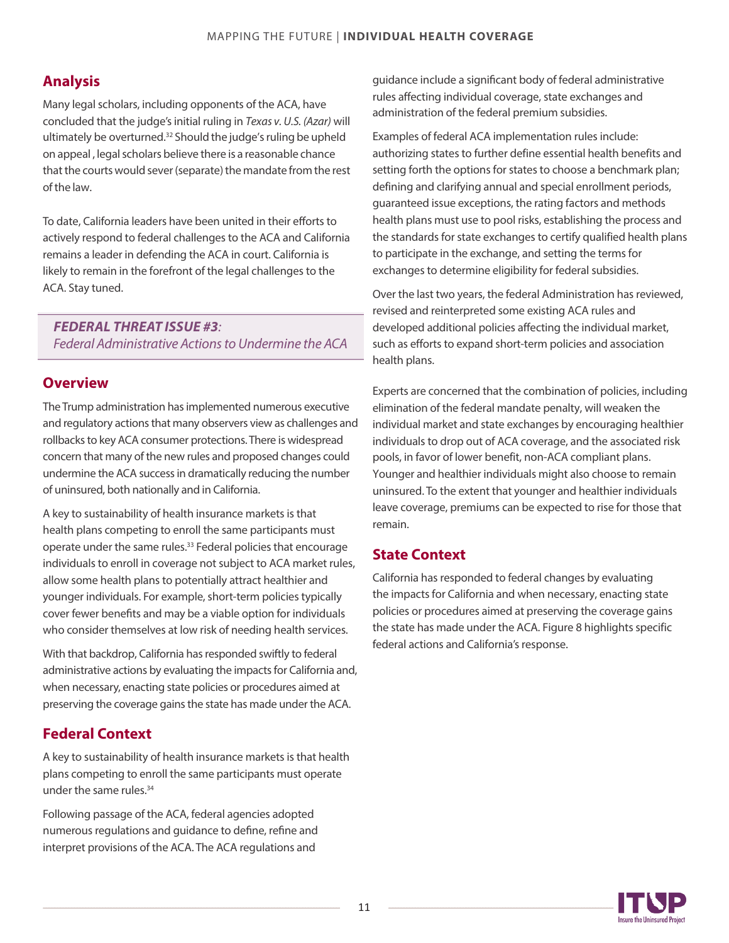## **Analysis**

Many legal scholars, including opponents of the ACA, have concluded that the judge's initial ruling in *Texas v. U.S. (Azar)* will ultimately be overturned.[32](#page-17-0) Should the judge's ruling be upheld on appeal , legal scholars believe there is a reasonable chance that the courts would sever (separate) the mandate from the rest of the law.

To date, California leaders have been united in their efforts to actively respond to federal challenges to the ACA and California remains a leader in defending the ACA in court. California is likely to remain in the forefront of the legal challenges to the ACA. Stay tuned.

*FEDERAL THREAT ISSUE #3: Federal Administrative Actions to Undermine the ACA* 

## **Overview**

The Trump administration has implemented numerous executive and regulatory actions that many observers view as challenges and rollbacks to key ACA consumer protections. There is widespread concern that many of the new rules and proposed changes could undermine the ACA success in dramatically reducing the number of uninsured, both nationally and in California.

A key to sustainability of health insurance markets is that health plans competing to enroll the same participants must operate under the same rules.[33](#page-17-0) Federal policies that encourage individuals to enroll in coverage not subject to ACA market rules, allow some health plans to potentially attract healthier and younger individuals. For example, short-term policies typically cover fewer benefits and may be a viable option for individuals who consider themselves at low risk of needing health services.

With that backdrop, California has responded swiftly to federal administrative actions by evaluating the impacts for California and, when necessary, enacting state policies or procedures aimed at preserving the coverage gains the state has made under the ACA.

## **Federal Context**

A key to sustainability of health insurance markets is that health plans competing to enroll the same participants must operate under the same rules.<sup>[34](#page-17-0)</sup>

Following passage of the ACA, federal agencies adopted numerous regulations and guidance to define, refine and interpret provisions of the ACA. The ACA regulations and

guidance include a significant body of federal administrative rules affecting individual coverage, state exchanges and administration of the federal premium subsidies.

Examples of federal ACA implementation rules include: authorizing states to further define essential health benefits and setting forth the options for states to choose a benchmark plan; defining and clarifying annual and special enrollment periods, guaranteed issue exceptions, the rating factors and methods health plans must use to pool risks, establishing the process and the standards for state exchanges to certify qualified health plans to participate in the exchange, and setting the terms for exchanges to determine eligibility for federal subsidies.

Over the last two years, the federal Administration has reviewed, revised and reinterpreted some existing ACA rules and developed additional policies affecting the individual market, such as efforts to expand short-term policies and association health plans.

Experts are concerned that the combination of policies, including elimination of the federal mandate penalty, will weaken the individual market and state exchanges by encouraging healthier individuals to drop out of ACA coverage, and the associated risk pools, in favor of lower benefit, non-ACA compliant plans. Younger and healthier individuals might also choose to remain uninsured. To the extent that younger and healthier individuals leave coverage, premiums can be expected to rise for those that remain.

## **State Context**

California has responded to federal changes by evaluating the impacts for California and when necessary, enacting state policies or procedures aimed at preserving the coverage gains the state has made under the ACA. Figure 8 highlights specific federal actions and California's response.

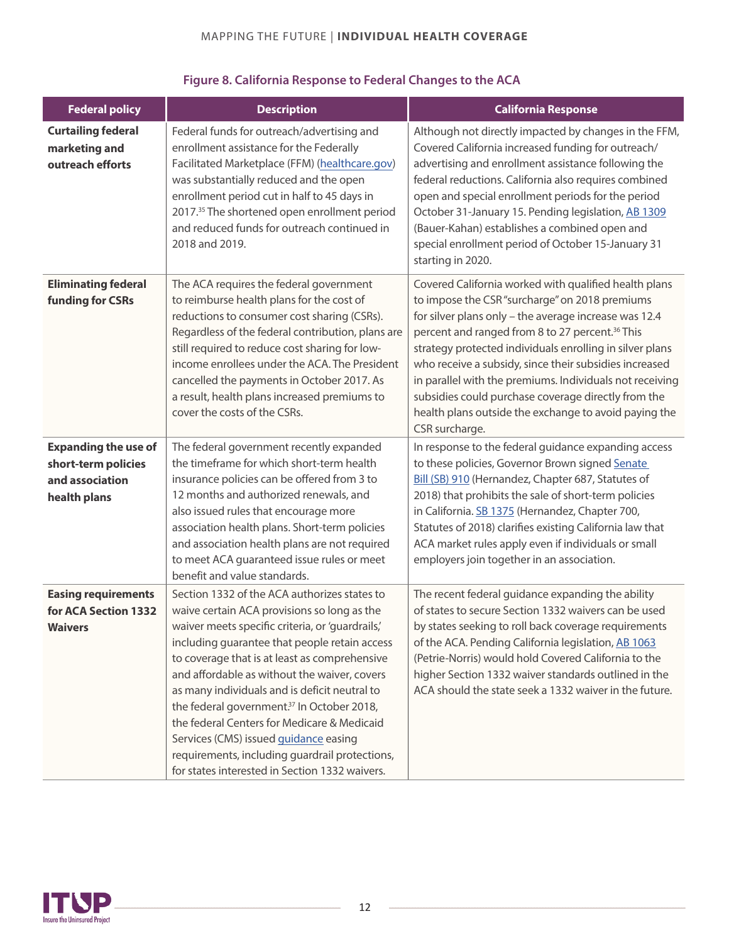## MAPPING THE FUTURE | **INDIVIDUAL HEALTH COVERAGE**

| <b>Federal policy</b>                                                                 | <b>Description</b>                                                                                                                                                                                                                                                                                                                                                                                                                                                                                                                                                                                       | <b>California Response</b>                                                                                                                                                                                                                                                                                                                                                                                                                                                                                                                          |  |
|---------------------------------------------------------------------------------------|----------------------------------------------------------------------------------------------------------------------------------------------------------------------------------------------------------------------------------------------------------------------------------------------------------------------------------------------------------------------------------------------------------------------------------------------------------------------------------------------------------------------------------------------------------------------------------------------------------|-----------------------------------------------------------------------------------------------------------------------------------------------------------------------------------------------------------------------------------------------------------------------------------------------------------------------------------------------------------------------------------------------------------------------------------------------------------------------------------------------------------------------------------------------------|--|
| <b>Curtailing federal</b><br>marketing and<br>outreach efforts                        | Federal funds for outreach/advertising and<br>enrollment assistance for the Federally<br>Facilitated Marketplace (FFM) (healthcare.gov)<br>was substantially reduced and the open<br>enrollment period cut in half to 45 days in<br>2017. <sup>35</sup> The shortened open enrollment period<br>and reduced funds for outreach continued in<br>2018 and 2019.                                                                                                                                                                                                                                            | Although not directly impacted by changes in the FFM,<br>Covered California increased funding for outreach/<br>advertising and enrollment assistance following the<br>federal reductions. California also requires combined<br>open and special enrollment periods for the period<br>October 31-January 15. Pending legislation, AB 1309<br>(Bauer-Kahan) establishes a combined open and<br>special enrollment period of October 15-January 31<br>starting in 2020.                                                                                |  |
| <b>Eliminating federal</b><br><b>funding for CSRs</b>                                 | The ACA requires the federal government<br>to reimburse health plans for the cost of<br>reductions to consumer cost sharing (CSRs).<br>Regardless of the federal contribution, plans are<br>still required to reduce cost sharing for low-<br>income enrollees under the ACA. The President<br>cancelled the payments in October 2017. As<br>a result, health plans increased premiums to<br>cover the costs of the CSRs.                                                                                                                                                                                | Covered California worked with qualified health plans<br>to impose the CSR "surcharge" on 2018 premiums<br>for silver plans only - the average increase was 12.4<br>percent and ranged from 8 to 27 percent. <sup>36</sup> This<br>strategy protected individuals enrolling in silver plans<br>who receive a subsidy, since their subsidies increased<br>in parallel with the premiums. Individuals not receiving<br>subsidies could purchase coverage directly from the<br>health plans outside the exchange to avoid paying the<br>CSR surcharge. |  |
| <b>Expanding the use of</b><br>short-term policies<br>and association<br>health plans | The federal government recently expanded<br>the timeframe for which short-term health<br>insurance policies can be offered from 3 to<br>12 months and authorized renewals, and<br>also issued rules that encourage more<br>association health plans. Short-term policies<br>and association health plans are not required<br>to meet ACA guaranteed issue rules or meet<br>benefit and value standards.                                                                                                                                                                                                  | In response to the federal guidance expanding access<br>to these policies, Governor Brown signed Senate<br>Bill (SB) 910 (Hernandez, Chapter 687, Statutes of<br>2018) that prohibits the sale of short-term policies<br>in California. SB 1375 (Hernandez, Chapter 700,<br>Statutes of 2018) clarifies existing California law that<br>ACA market rules apply even if individuals or small<br>employers join together in an association.                                                                                                           |  |
| <b>Easing requirements</b><br>for ACA Section 1332<br><b>Waivers</b>                  | Section 1332 of the ACA authorizes states to<br>waive certain ACA provisions so long as the<br>waiver meets specific criteria, or 'quardrails,'<br>including guarantee that people retain access<br>to coverage that is at least as comprehensive<br>and affordable as without the waiver, covers<br>as many individuals and is deficit neutral to<br>the federal government. <sup>37</sup> In October 2018,<br>the federal Centers for Medicare & Medicaid<br>Services (CMS) issued guidance easing<br>requirements, including guardrail protections,<br>for states interested in Section 1332 waivers. | The recent federal guidance expanding the ability<br>of states to secure Section 1332 waivers can be used<br>by states seeking to roll back coverage requirements<br>of the ACA. Pending California legislation, AB 1063<br>(Petrie-Norris) would hold Covered California to the<br>higher Section 1332 waiver standards outlined in the<br>ACA should the state seek a 1332 waiver in the future.                                                                                                                                                  |  |

## Figure 8. California Response to Federal Changes to the ACA

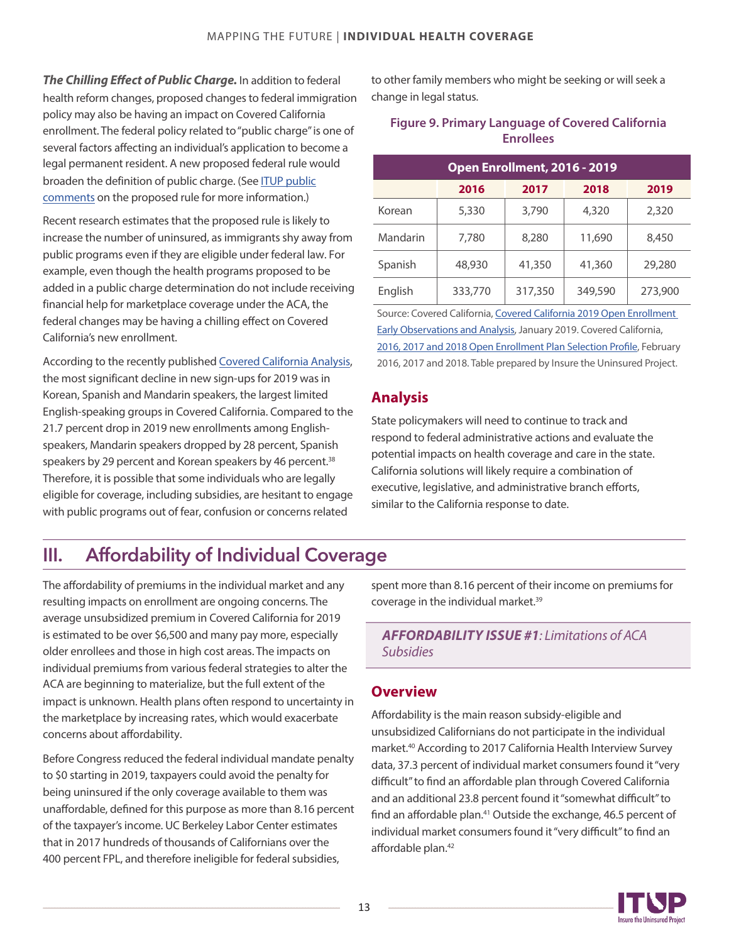*The Chilling Effect of Public Charge.* In addition to federal health reform changes, proposed changes to federal immigration policy may also be having an impact on Covered California enrollment. The federal policy related to "public charge" is one of several factors affecting an individual's application to become a legal permanent resident. A new proposed federal rule would broaden the definition of public charge. (See ITUP public [comments on the proposed rule for more information.\)](http://www.itup.org/wp-content/uploads/2018/12/FINAL-Public-Charge-Comments_12.4.18.pdf)

Recent research estimates that the proposed rule is likely to increase the number of uninsured, as immigrants shy away from public programs even if they are eligible under federal law. For example, even though the health programs proposed to be added in a public charge determination do not include receiving financial help for marketplace coverage under the ACA, the federal changes may be having a chilling effect on Covered California's new enrollment.

According to the recently published [Covered California Analysis](https://hbex.coveredca.com/data-research/library/CoveredCA_2019_Open_Enrollment_Early_Analysis.pdf), the most significant decline in new sign-ups for 2019 was in Korean, Spanish and Mandarin speakers, the largest limited English-speaking groups in Covered California. Compared to the 21.7 percent drop in 2019 new enrollments among Englishspeakers, Mandarin speakers dropped by 28 percent, Spanish speakers by 29 percent and Korean speakers by 46 percent.<sup>[38](#page-17-0)</sup> Therefore, it is possible that some individuals who are legally eligible for coverage, including subsidies, are hesitant to engage with public programs out of fear, confusion or concerns related

to other family members who might be seeking or will seek a change in legal status.

#### **Figure 9. Primary Language of Covered California Enrollees**

| Open Enrollment, 2016 - 2019 |         |         |         |         |
|------------------------------|---------|---------|---------|---------|
|                              | 2016    | 2017    | 2018    | 2019    |
| Korean                       | 5,330   | 3,790   | 4,320   | 2,320   |
| Mandarin                     | 7,780   | 8,280   | 11,690  | 8,450   |
| Spanish                      | 48,930  | 41,350  | 41,360  | 29,280  |
| English                      | 333,770 | 317,350 | 349,590 | 273,900 |

Source: Covered California, [Covered California 2019 Open Enrollment](https://hbex.coveredca.com/data-research/library/CoveredCA_2019_Open_Enrollment_Early_Analysis.pdf)  [Early Observations and Analysis](https://hbex.coveredca.com/data-research/library/CoveredCA_2019_Open_Enrollment_Early_Analysis.pdf), January 2019. Covered California, [2016, 2017 and 2018 Open Enrollment Plan Selection Pr](https://hbex.coveredca.com/data-research/library/CoveredCA-Leg-Report-2016-17-v9.pdf)ofile, February 2016, 2017 and 2018. Table prepared by Insure the Uninsured Project.

## **Analysis**

State policymakers will need to continue to track and respond to federal administrative actions and evaluate the potential impacts on health coverage and care in the state. California solutions will likely require a combination of executive, legislative, and administrative branch efforts, similar to the California response to date.

## III. Affordability of Individual Coverage

The affordability of premiums in the individual market and any resulting impacts on enrollment are ongoing concerns. The average unsubsidized premium in Covered California for 2019 is estimated to be over \$6,500 and many pay more, especially older enrollees and those in high cost areas. The impacts on individual premiums from various federal strategies to alter the ACA are beginning to materialize, but the full extent of the impact is unknown. Health plans often respond to uncertainty in the marketplace by increasing rates, which would exacerbate concerns about affordability.

Before Congress reduced the federal individual mandate penalty to \$0 starting in 2019, taxpayers could avoid the penalty for being uninsured if the only coverage available to them was unaffordable, defined for this purpose as more than 8.16 percent of the taxpayer's income. UC Berkeley Labor Center estimates that in 2017 hundreds of thousands of Californians over the 400 percent FPL, and therefore ineligible for federal subsidies,

spent more than 8.16 percent of their income on premiums for coverage in the individual market.<sup>39</sup>

*AFFORDABILITY ISSUE #1: Limitations of ACA Subsidies*

## **Overview**

Affordability is the main reason subsidy-eligible and unsubsidized Californians do not participate in the individual market.[40](#page-17-0) According to 2017 California Health Interview Survey data, 37.3 percent of individual market consumers found it "very difficult" to find an affordable plan through Covered California and an additional 23.8 percent found it "somewhat difficult" to find an affordable plan.<sup>41</sup> Outside the exchange, 46.5 percent of individual market consumers found it "very difficult" to find an affordable plan.<sup>[42](#page-17-0)</sup>

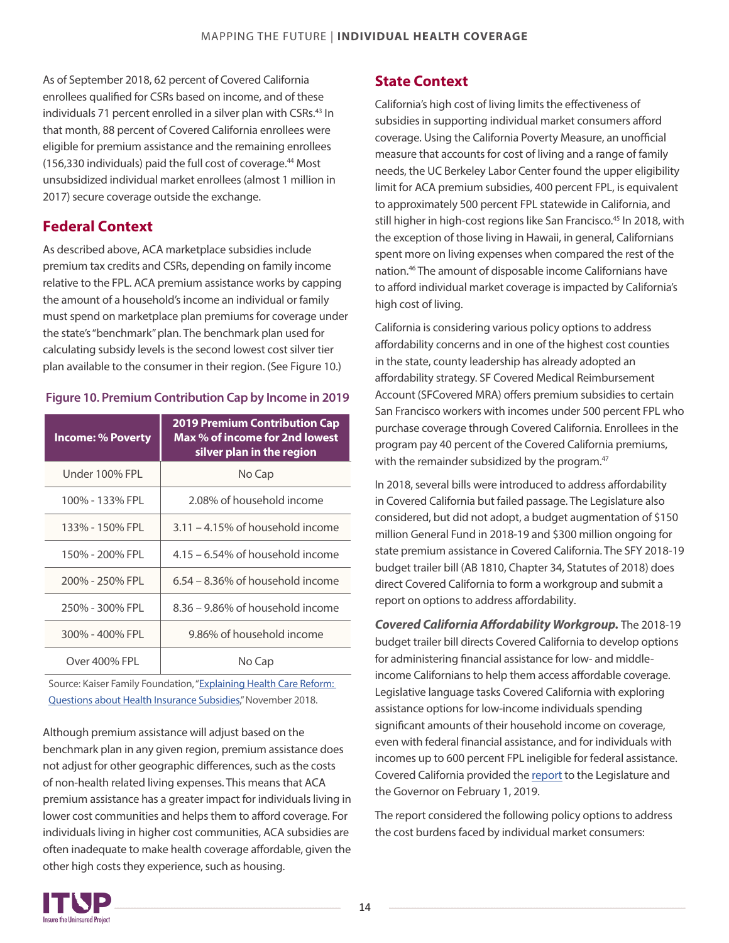<span id="page-13-0"></span>As of September 2018, 62 percent of Covered California enrollees qualified for CSRs based on income, and of these individuals 71 percent enrolled in a silver plan with CSRs.<sup>[43](#page-17-0)</sup> In that month, 88 percent of Covered California enrollees were eligible for premium assistance and the remaining enrollees (156,330 individuals) paid the full cost of coverage.[44](#page-18-0) Most unsubsidized individual market enrollees (almost 1 million in 2017) secure coverage outside the exchange.

## **Federal Context**

As described above, ACA marketplace subsidies include premium tax credits and CSRs, depending on family income relative to the FPL. ACA premium assistance works by capping the amount of a household's income an individual or family must spend on marketplace plan premiums for coverage under the state's "benchmark"plan. The benchmark plan used for calculating subsidy levels is the second lowest cost silver tier plan available to the consumer in their region. (See Figure 10.)

#### **Figure 10. Premium Contribution Cap by Income in 2019**

| <b>Income: % Poverty</b> | <b>2019 Premium Contribution Cap</b><br>Max % of income for 2nd lowest<br>silver plan in the region |
|--------------------------|-----------------------------------------------------------------------------------------------------|
| Under 100% FPL           | No Cap                                                                                              |
| 100% - 133% FPL          | 2.08% of household income                                                                           |
| 133% - 150% FPL          | $3.11 - 4.15\%$ of household income                                                                 |
| 150% - 200% FPL          | $4.15 - 6.54\%$ of household income                                                                 |
| 200% - 250% FPL          | $6.54 - 8.36\%$ of household income                                                                 |
| 250% - 300% FPL          | 8.36 – 9.86% of household income                                                                    |
| 300% - 400% FPL          | 9.86% of household income                                                                           |
| Over 400% FPL            | No Cap                                                                                              |

Source: Kaiser Family Foundation, "Explaining Health Care Reform: [Questions about Health Insurance Subsidies](http://files.kff.org/attachment/Issue-Brief-Explaining-Health-Care-Reform-Questions-about-Health-Insurance-Subsidies)," November 2018.

Although premium assistance will adjust based on the benchmark plan in any given region, premium assistance does not adjust for other geographic differences, such as the costs of non-health related living expenses. This means that ACA premium assistance has a greater impact for individuals living in lower cost communities and helps them to afford coverage. For individuals living in higher cost communities, ACA subsidies are often inadequate to make health coverage affordable, given the other high costs they experience, such as housing.

## **State Context**

California's high cost of living limits the effectiveness of subsidies in supporting individual market consumers afford coverage. Using the California Poverty Measure, an unofficial measure that accounts for cost of living and a range of family needs, the UC Berkeley Labor Center found the upper eligibility limit for ACA premium subsidies, 400 percent FPL, is equivalent to approximately 500 percent FPL statewide in California, and still higher in high-cost regions like San Francisco.<sup>[45](#page-18-0)</sup> In 2018, with the exception of those living in Hawaii, in general, Californians spent more on living expenses when compared the rest of the nation.[46](#page-18-0) The amount of disposable income Californians have to afford individual market coverage is impacted by California's high cost of living.

California is considering various policy options to address affordability concerns and in one of the highest cost counties in the state, county leadership has already adopted an affordability strategy. SF Covered Medical Reimbursement Account (SFCovered MRA) offers premium subsidies to certain San Francisco workers with incomes under 500 percent FPL who purchase coverage through Covered California. Enrollees in the program pay 40 percent of the Covered California premiums, with the remainder subsidized by the program.<sup>[47](#page-18-0)</sup>

In 2018, several bills were introduced to address affordability in Covered California but failed passage. The Legislature also considered, but did not adopt, a budget augmentation of \$150 million General Fund in 2018-19 and \$300 million ongoing for state premium assistance in Covered California. The SFY 2018-19 budget trailer bill (AB 1810, Chapter 34, Statutes of 2018) does direct Covered California to form a workgroup and submit a report on options to address affordability.

*Covered California Affordability Workgroup.* The 2018-19 budget trailer bill directs Covered California to develop options for administering financial assistance for low- and middleincome Californians to help them access affordable coverage. Legislative language tasks Covered California with exploring assistance options for low-income individuals spending significant amounts of their household income on coverage, even with federal financial assistance, and for individuals with incomes up to 600 percent FPL ineligible for federal assistance. Covered California provided the [report](https://hbex.coveredca.com/data-research/library/CoveredCA_Options_To_Improve_Affordability.pdf) to the Legislature and the Governor on February 1, 2019.

The report considered the following policy options to address the cost burdens faced by individual market consumers:

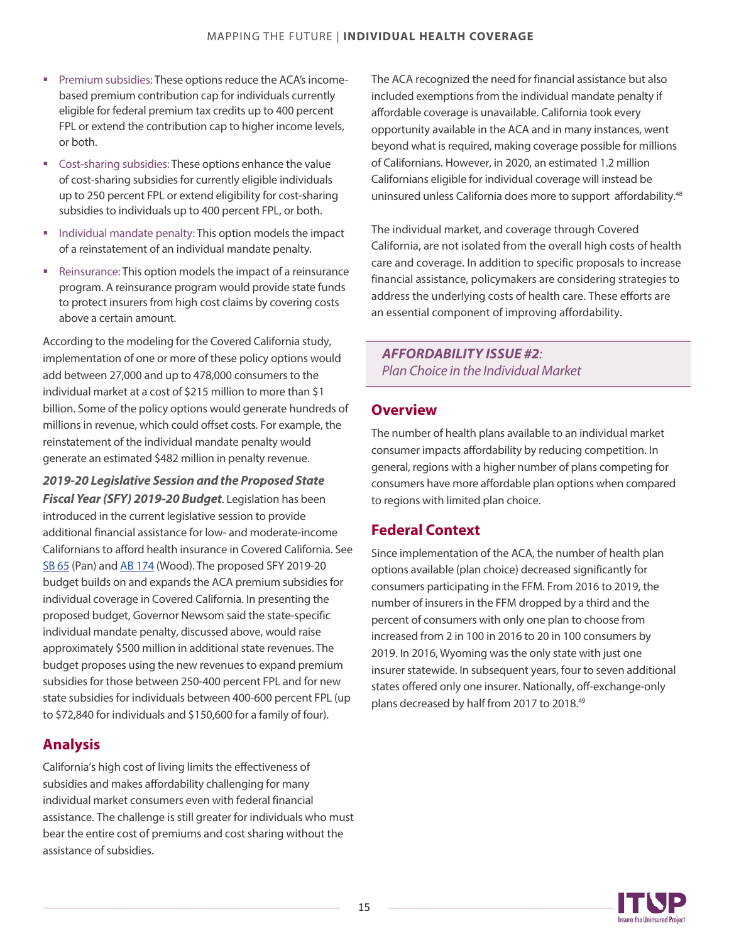- <span id="page-14-0"></span>**Premium subsidies: These options reduce the ACA's income**based premium contribution cap for individuals currently eligible for federal premium tax credits up to 400 percent FPL or extend the contribution cap to higher income levels, or both.
- Cost-sharing subsidies: These options enhance the value of cost-sharing subsidies for currently eligible individuals up to 250 percent FPL or extend eligibility for cost-sharing subsidies to individuals up to 400 percent FPL, or both.
- **Individual mandate penalty: This option models the impact** of a reinstatement of an individual mandate penalty.
- Reinsurance: This option models the impact of a reinsurance program. A reinsurance program would provide state funds to protect insurers from high cost claims by covering costs above a certain amount.

According to the modeling for the Covered California study, implementation of one or more of these policy options would add between 27,000 and up to 478,000 consumers to the individual market at a cost of \$215 million to more than \$1 billion. Some of the policy options would generate hundreds of millions in revenue, which could offset costs. For example, the reinstatement of the individual mandate penalty would generate an estimated \$482 million in penalty revenue.

*2019-20 Legislative Session and the Proposed State Fiscal Year(SFY) 2019-20 Budget*. Legislation has been introduced in the current legislative session to provide additional financial assistance for low- and moderate-income Californians to afford health insurance in Covered California. See [SB 65](http://leginfo.legislature.ca.gov/faces/billNavClient.xhtml?bill_id=201920200SB65) (Pan) and [AB 174](http://leginfo.legislature.ca.gov/faces/billNavClient.xhtml?bill_id=201920200AB174) (Wood). The proposed SFY 2019-20 budget builds on and expands the ACA premium subsidies for individual coverage in Covered California. In presenting the proposed budget, Governor Newsom said the state-specific individual mandate penalty, discussed above, would raise approximately \$500 million in additional state revenues. The budget proposes using the new revenues to expand premium subsidies for those between 250-400 percent FPL and for new state subsidies for individuals between 400-600 percent FPL (up to \$72,840 for individuals and \$150,600 for a family of four).

## **Analysis**

California's high cost of living limits the effectiveness of subsidies and makes affordability challenging for many individual market consumers even with federal financial assistance. The challenge is still greater for individuals who must bear the entire cost of premiums and cost sharing without the assistance of subsidies.

The ACA recognized the need for financial assistance but also included exemptions from the individual mandate penalty if affordable coverage is unavailable. California took every opportunity available in the ACA and in many instances, went beyond what is required, making coverage possible for millions of Californians. However, in 2020, an estimated 1.2 million Californians eligible for individual coverage will instead be uninsured unless California does more to support affordability.<sup>[48](#page-18-0)</sup>

The individual market, and coverage through Covered California, are not isolated from the overall high costs of health care and coverage. In addition to specific proposals to increase financial assistance, policymakers are considering strategies to address the underlying costs of health care. These efforts are an essential component of improving affordability.

*AFFORDABILITY ISSUE #2: Plan Choice in the Individual Market*

## **Overview**

The number of health plans available to an individual market consumer impacts affordability by reducing competition. In general, regions with a higher number of plans competing for consumers have more affordable plan options when compared to regions with limited plan choice.

## **Federal Context**

Since implementation of the ACA, the number of health plan options available (plan choice) decreased significantly for consumers participating in the FFM. From 2016 to 2019, the number of insurers in the FFM dropped by a third and the percent of consumers with only one plan to choose from increased from 2 in 100 in 2016 to 20 in 100 consumers by 2019. In 2016, Wyoming was the only state with just one insurer statewide. In subsequent years, four to seven additional states offered only one insurer. Nationally, off-exchange-only plans decreased by half from 2017 to 2018.<sup>[49](#page-18-0)</sup>

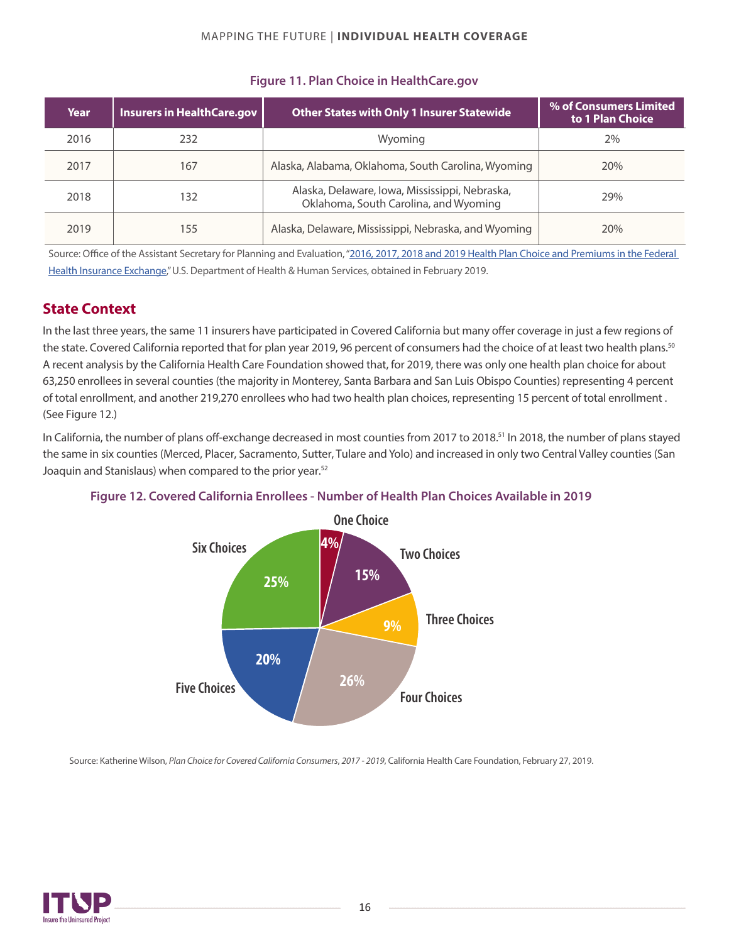<span id="page-15-0"></span>

| Year | <b>Insurers in HealthCare.gov</b> | <b>Other States with Only 1 Insurer Statewide</b>                                       | % of Consumers Limited<br>to 1 Plan Choice |
|------|-----------------------------------|-----------------------------------------------------------------------------------------|--------------------------------------------|
| 2016 | 232                               | Wyoming                                                                                 | 2%                                         |
| 2017 | 167                               | Alaska, Alabama, Oklahoma, South Carolina, Wyoming                                      | 20%                                        |
| 2018 | 132                               | Alaska, Delaware, Iowa, Mississippi, Nebraska,<br>Oklahoma, South Carolina, and Wyoming | 29%                                        |
| 2019 | 155                               | Alaska, Delaware, Mississippi, Nebraska, and Wyoming                                    | 20%                                        |

### **Figure 11. Plan Choice in HealthCare.gov**

Source: Office of the Assistant Secretary for Planning and Evaluation, "2016, 2017, 2018 and 2019 Health Plan Choice and Premiums in the Federal [Health Insurance Exchange,](https://aspe.hhs.gov/health-coverage-research)" U.S. Department of Health & Human Services, obtained in February 2019.

## **State Context**

In the last three years, the same 11 insurers have participated in Covered California but many offer coverage in just a few regions of the state. Covered California reported that for plan year 2019, 96 percent of consumers had the choice of at least two health plans. $^{50}$  $^{50}$  $^{50}$ A recent analysis by the California Health Care Foundation showed that, for 2019, there was only one health plan choice for about 63,250 enrolleesin several counties (the majority in Monterey, Santa Barbara and San Luis Obispo Counties) representing 4 percent of total enrollment, and another 219,270 enrollees who had two health plan choices, representing 15 percent of total enrollment . (See Figure 12.)

In California, the number of plans off-exchange decreased in most counties from 2017 to 2018.<sup>[51](#page-18-0)</sup> In 2018, the number of plans stayed the same in six counties (Merced, Placer, Sacramento, Sutter, Tulare and Yolo) and increased in only two Central Valley counties(San Joaquin and Stanislaus) when compared to the prior year.<sup>[52](#page-18-0)</sup>



#### **Figure 12. Covered California Enrollees - Number of Health Plan Choices Available in 2019**

Source: Katherine Wilson, *Plan Choice for Covered California Consumers*, *2017 - 2019*, California Health Care Foundation, February 27, 2019.

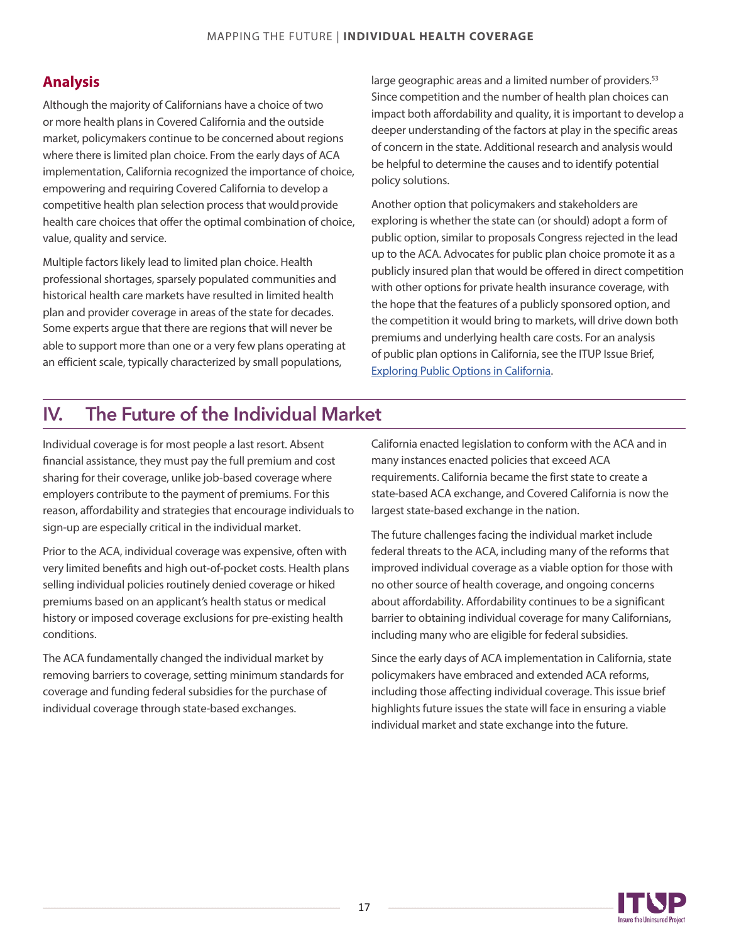## **Analysis**

Although the majority of Californians have a choice of two or more health plans in Covered California and the outside market, policymakers continue to be concerned about regions where there is limited plan choice. From the early days of ACA implementation, California recognized the importance of choice, empowering and requiring Covered California to develop a competitive health plan selection process that would provide health care choices that offer the optimal combination of choice, value, quality and service.

Multiple factors likely lead to limited plan choice. Health professional shortages, sparsely populated communities and historical health care markets have resulted in limited health plan and provider coverage in areas of the state for decades. Some experts argue that there are regions that will never be able to support more than one or a very few plans operating at an efficient scale, typically characterized by small populations,

large geographic areas and a limited number of providers.<sup>[53](#page-18-0)</sup> Since competition and the number of health plan choices can impact both affordability and quality, it is important to develop a deeper understanding of the factors at play in the specific areas of concern in the state. Additional research and analysis would be helpful to determine the causes and to identify potential policy solutions.

Another option that policymakers and stakeholders are exploring is whether the state can (or should) adopt a form of public option, similar to proposals Congress rejected in the lead up to the ACA. Advocates for public plan choice promote it as a publicly insured plan that would be offered in direct competition with other options for private health insurance coverage, with the hope that the features of a publicly sponsored option, and the competition it would bring to markets, will drive down both premiums and underlying health care costs. For an analysis of public plan options in California, see the ITUP Issue Brief, [Exploring Public Options in California.](http://www.itup.org/wp-content/uploads/2018/10/ITUP-Public-option-issue-brief.pdf)

## IV. The Future of the Individual Market

Individual coverage is for most people a last resort. Absent financial assistance, they must pay the full premium and cost sharing for their coverage, unlike job-based coverage where employers contribute to the payment of premiums. For this reason, affordability and strategies that encourage individuals to sign-up are especially critical in the individual market.

Prior to the ACA, individual coverage was expensive, often with very limited benefits and high out-of-pocket costs. Health plans selling individual policies routinely denied coverage or hiked premiums based on an applicant's health status or medical history or imposed coverage exclusions for pre-existing health conditions.

The ACA fundamentally changed the individual market by removing barriers to coverage, setting minimum standards for coverage and funding federal subsidies for the purchase of individual coverage through state-based exchanges.

California enacted legislation to conform with the ACA and in many instances enacted policies that exceed ACA requirements. California became the first state to create a state-based ACA exchange, and Covered California is now the largest state-based exchange in the nation.

The future challenges facing the individual market include federal threats to the ACA, including many of the reforms that improved individual coverage as a viable option for those with no other source of health coverage, and ongoing concerns about affordability. Affordability continues to be a significant barrier to obtaining individual coverage for many Californians, including many who are eligible for federal subsidies.

Since the early days of ACA implementation in California, state policymakers have embraced and extended ACA reforms, including those affecting individual coverage. This issue brief highlights future issues the state will face in ensuring a viable individual market and state exchange into the future.

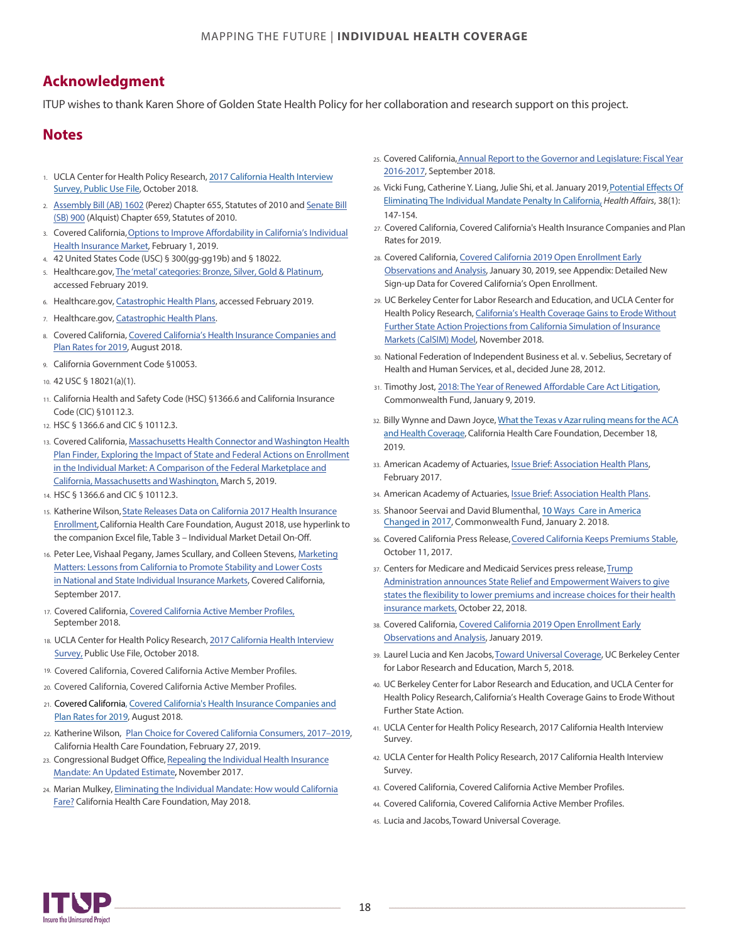## <span id="page-17-0"></span>**Acknowledgment**

ITUP wishes to thank Karen Shore of Golden State Health Policy for her collaboration and research support on this project.

### **Notes**

- 1. UCLA Center for Health Policy Research, 2017 [California Health Interview](http://healthpolicy.ucla.edu/Pages/AskCHIS.aspx) [Survey](http://healthpolicy.ucla.edu/Pages/AskCHIS.aspx), Public Use File, October 2018.
- 2. [Assembly Bill \(AB\) 1602](http://leginfo.legislature.ca.gov/faces/billNavClient.xhtml?bill_id=200920100AB1602) (Perez) Chapter 655, Statutes of 2010 and [Senate Bill](http://leginfo.legislature.ca.gov/faces/billNavClient.xhtml?bill_id=200920100SB900) [\(SB\) 900](http://leginfo.legislature.ca.gov/faces/billNavClient.xhtml?bill_id=200920100SB900) (Alquist) Chapter 659, Statutes of 2010.
- 3. Covered California, [Options to Improve Affordability in California's Individual](https://hbex.coveredca.com/data-research/library/CoveredCA_Options_To_Improve_Affordability.pdf) [Health Insurance Market,](https://hbex.coveredca.com/data-research/library/CoveredCA_Options_To_Improve_Affordability.pdf) February 1, 2019.
- 4. [4](#page-2-0)2 United States Code (USC) § 300(gg-gg19b) and § 18022.
- 5. [H](#page-2-0)ealthcare.gov, The 'metal' categories: [Bronze, Silver, Gold & Platinum](https://www.healthcare.gov/choose-a-plan/plans-categories/), accessed February 2019.
- 6. [H](#page-2-0)ealthcare.gov, [Catastrophic Health Plans,](https://www.healthcare.gov/choose-a-plan/catastrophic-health-plans/) accessed February 2019.
- 7. [H](#page-2-0)ealthcare.gov, [Catastrophic Health Plans.](https://www.healthcare.gov/choose-a-plan/catastrophic-health-plans/)
- 8. [C](#page-2-0)[overed California, Covered California's Health Insurance Companies and](https://www.coveredca.com/newsroom/PDFs/CoveredCA_2019_Plans_and_Rates.pdf) Plan [Rates for 2019,](https://www.coveredca.com/newsroom/PDFs/CoveredCA_2019_Plans_and_Rates.pdf) August 2018.
- 9. [Ca](#page-3-0)lifornia Government Code §10053.
- 10. 42 USC § 18021(a)(1).
- 11. California Health and Safety Code (HSC) §1366.6 and California Insurance Code (CIC) §10112.3.
- 12. HSC § 1366.6 and CIC § 10112.3.
- 13. [Co](#page-3-0)vered California, [Massachusetts Health Connector](https://www.coveredca.com/news/pdfs/CA_MA_WA_2019_Open_Enrollment_observations-03-05-2019.pdf) and Washington Health [Plan Finder, Exploring the Impact of State and](https://www.coveredca.com/news/pdfs/CA_MA_WA_2019_Open_Enrollment_observations-03-05-2019.pdf) Federal Actions on Enrollment [in the Individual Market: A Comparison of the Federal](https://www.coveredca.com/news/pdfs/CA_MA_WA_2019_Open_Enrollment_observations-03-05-2019.pdf) Marketplace and [California, Massachusetts and](https://www.coveredca.com/news/pdfs/CA_MA_WA_2019_Open_Enrollment_observations-03-05-2019.pdf) Washington, March 5, 2019.
- 14. HSC § 1366.6 and CIC § 10112.3.
- 15. [Ka](#page-4-0)therine Wilson, [State Releases Data on California 2017 Health Insurance](https://www.chcf.org/blog/state-releases-data-on-california-2017-health-insurance-enrollment/) [Enrollment,](https://www.chcf.org/blog/state-releases-data-on-california-2017-health-insurance-enrollment/) California Health Care Foundation, August 2018, use hyperlink to the companion Excel file, Table 3 – Individual Market Detail On-Off.
- 16. [Pe](#page-4-0)ter Lee, Vishaal Pegany, James Scullary, and Colleen Stevens, [Marketing](https://hbex.coveredca.com/data-research/library/CoveredCA_Marketing_Matters_9-17.pdf) [Matters: Lessons from California to Promote Stability and Lower Costs](https://hbex.coveredca.com/data-research/library/CoveredCA_Marketing_Matters_9-17.pdf) [in National and State Individual Insurance Markets](https://hbex.coveredca.com/data-research/library/CoveredCA_Marketing_Matters_9-17.pdf), Covered California, September 2017.
- 17. Covered California, Covered California Active Member Profiles, September 2018.
- 18. UCLA Center for Health Policy Research, 2017 California Health Interview Survey, Public Use File, October 2018.
- Covered [California, Covered California Acti](https://hbex.coveredca.com/data-research/library/CoveredCA_2019_Open_Enrollment_Early_Analysis.pdf)ve Member Profiles.
- 20. Covered California, Covered California Active Member Profiles.
- 21. Covered California, Covered California's Health Insurance Companies and Plan Rates for 2019, August 2018.
- 22. Katherine Wilson, Plan Choice for Covered California Consumers, 2017-2019, California Health Care Foundation, February 27, 2019.
- 23. Congressional Budget Office, Repealing the Individual Health Insurance Mandate: An Updated Estimate, November 2017.
- 24. Marian Mulkey, Eliminating the Individual Mandate: How would California Fare? California Health Care Foundation, May 2018.
- 25. [C](#page-7-0)overed California[,Annual Report to the Governor and Legislature: Fiscal](https://hbex.coveredca.com/data-research/library/CoveredCA-Leg-Report-2016-17-v9.pdf) Year [2016-2017](https://hbex.coveredca.com/data-research/library/CoveredCA-Leg-Report-2016-17-v9.pdf), September 2018.
- 26. [Vi](#page-7-0)cki Fung, Catherine Y. Liang, Julie Shi, et al. January 2019, Potential Effects Of Eliminating [The Individual Mandate Penalty In California,](https://www.healthaffairs.org/doi/abs/10.1377/hlthaff.2018.05161) *Health Affairs*, 38(1): 147-154.
- 27. [Co](#page-8-0)vered California, Covered California's Health Insurance Companies and Plan Rates for 2019.
- 28. [Co](#page-8-0)vered California, [Covered California 2019 Open Enrollment Early](https://hbex.coveredca.com/data-research/library/CoveredCA_2019_Open_Enrollment_Early_Analysis.pdf) [Observations and Analysis](https://hbex.coveredca.com/data-research/library/CoveredCA_2019_Open_Enrollment_Early_Analysis.pdf), January 30, 2019, see Appendix: Detailed New Sign-up Data for Covered California's Open Enrollment.
- 29. [U](#page-8-0)C Berkeley Center for Labor Research and Education, and UCLA Center for Health Policy Research, [California's Health Coverage Gains to Erode](http://laborcenter.berkeley.edu/pdf/2018/CA-Coverage-Gains-To-Erode-Without-Further-State-Action.pdf) Without [Further State Action Projections from California Simulation of Insurance](http://laborcenter.berkeley.edu/pdf/2018/CA-Coverage-Gains-To-Erode-Without-Further-State-Action.pdf) [Markets \(CalSIM\) Model,](http://laborcenter.berkeley.edu/pdf/2018/CA-Coverage-Gains-To-Erode-Without-Further-State-Action.pdf) November 2018.
- 30. [N](#page-8-0)ational Federation of Independent Business et al. v. Sebelius, Secretary of Health and Human Services, et al., decided June 28, 2012.
- 31. [Ti](#page-8-0)mothy Jost, 2018: The Year of Renewed Aff[ordable Care Act Litigation,](https://www.commonwealthfund.org/blog/2019/2018-year-renewed-affordable-care-act-litigation) Commonwealth Fund, January 9, 2019.
- 32. [Bi](#page-9-0)lly Wynne and Dawn Joyce, [What the Texas v Azar ruling means for the ACA](https://www.chcf.org/blog/what-the-texas-v-azar-ruling-means-for-the-aca-and-health-coverage/) [and Health Coverage,](https://www.chcf.org/blog/what-the-texas-v-azar-ruling-means-for-the-aca-and-health-coverage/) California Health Care Foundation, December 18, 2019.
- 33. American Academy of Actuaries, Issue Brief: Association Health Plans, February 2017.
- 34. American Academy of Actuaries, Issue Brief: Association Health Plans.
- 35. Shanoor Seervai and David Blumenthal, 10 Ways Care in America Changed in 2017, Commonwealth Fund, January 2. 2018.
- 36. Covered California Press Release, Covered California Keeps Premiums Stable, October 11, 2017.
- 37. Centers for Medicare and Medicaid Services press release, Trump Administration announces State Relief and Empowerment Waivers to give states the flexibility to lower premiums and increase choices for their health insurance markets, October 22, 2018.
- 38. Covered California, Covered California 2019 Open Enrollment Early Observations and Analysis, January 2019.
- 39. Laurel Lucia and Ken Jacobs, Toward Universal Coverage, UC Berkeley Center for Labor Research and Education, March 5, 2018.
- 40. UC Berkeley Center for Labor Research and Education, and UCLA Center for Health Policy Research, California's Health Coverage Gains to Erode Without Further State Action.
- 41. UCLA Center for Health Policy Research, 2017 California Health Interview Survev.
- 42. UCLA Center for Health Policy Research, 2017 California Health Interview Survey.
- 43. Covered California, Covered California Active Member Profiles.
- 44. Covered California, Covered California Active Member Profiles.
- 45. Lucia and Jacobs, Toward Universal Coverage.